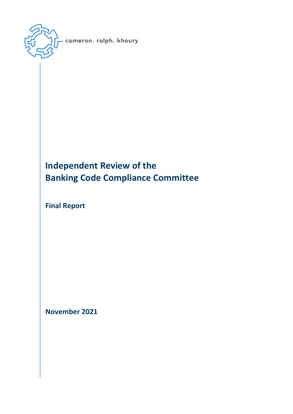

# **Independent Review of the Banking Code Compliance Committee**

**Final Report**

**November 2021**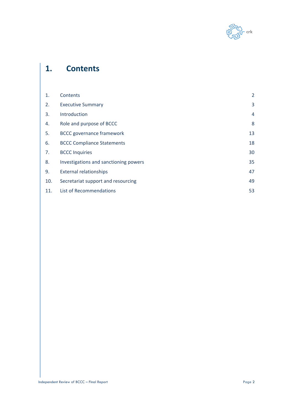

# **1. Contents**

| 1.  | Contents                              | 2  |
|-----|---------------------------------------|----|
| 2.  | <b>Executive Summary</b>              | 3  |
| 3.  | Introduction                          | 4  |
| 4.  | Role and purpose of BCCC              | 8  |
| 5.  | <b>BCCC governance framework</b>      | 13 |
| 6.  | <b>BCCC Compliance Statements</b>     | 18 |
| 7.  | <b>BCCC Inquiries</b>                 | 30 |
| 8.  | Investigations and sanctioning powers | 35 |
| 9.  | <b>External relationships</b>         | 47 |
| 10. | Secretariat support and resourcing    | 49 |
| 11. | List of Recommendations               | 53 |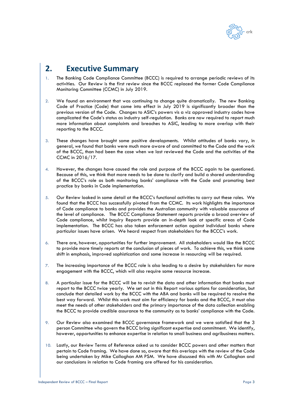

# **2. Executive Summary**

- 1. The Banking Code Compliance Committee (BCCC) is required to arrange periodic reviews of its activities. Our Review is the first review since the BCCC replaced the former Code Compliance Monitoring Committee (CCMC) in July 2019.
- 2. We found an environment that was continuing to change quite dramatically. The new Banking Code of Practice (Code) that came into effect in July 2019 is significantly broader than the previous version of the Code. Changes to ASIC's powers vis a viz approved industry codes have complicated the Code's status as industry self-regulation. Banks are now required to report much more information about complaints and breaches to ASIC, leading to more overlap with their reporting to the BCCC.
- 3. These changes have brought some positive developments. Whilst attitudes of banks vary, in general, we found that banks were much more aware of and committed to the Code and the work of the BCCC, than had been the case when we last reviewed the Code and the activities of the CCMC in 2016/17.
- 4. However, the changes have caused the role and purpose of the BCCC again to be questioned. Because of this, we think that more needs to be done to clarify and build a shared understanding of the BCCC's role as both monitoring banks' compliance with the Code and promoting best practice by banks in Code implementation.
- 5. Our Review looked in some detail at the BCCC's functional activities to carry out these roles. We found that the BCCC has successfully pivoted from the CCMC. Its work highlights the importance of Code compliance to banks and provides the Australian community with valuable assurance of the level of compliance. The BCCC Compliance Statement reports provide a broad overview of Code compliance, whilst Inquiry Reports provide an in-depth look at specific areas of Code implementation. The BCCC has also taken enforcement action against individual banks where particular issues have arisen. We heard respect from stakeholders for the BCCC's work.
- 6. There are, however, opportunities for further improvement. All stakeholders would like the BCCC to provide more timely reports at the conclusion of pieces of work. To achieve this, we think some shift in emphasis, improved sophistication and some increase in resourcing will be required.
- 7. The increasing importance of the BCCC role is also leading to a desire by stakeholders for more engagement with the BCCC, which will also require some resource increase.
- 8. A particular issue for the BCCC will be to revisit the data and other information that banks must report to the BCCC twice yearly. We set out in this Report various options for consideration, but conclude that detailed work by the BCCC with the ABA and banks will be required to resolve the best way forward. Whilst this work must aim for efficiency for banks and the BCCC, it must also meet the needs of other stakeholders and the primary importance of the data collection enabling the BCCC to provide credible assurance to the community as to banks' compliance with the Code.
- 9. Our Review also examined the BCCC governance framework and we were satisfied that the 3 person Committee who govern the BCCC bring significant expertise and commitment. We identify, however, opportunities to enhance expertise in relation to small business and agribusiness matters.
- 10. Lastly, our Review Terms of Reference asked us to consider BCCC powers and other matters that pertain to Code framing. We have done so, aware that this overlaps with the review of the Code being undertaken by Mike Callaghan AM PSM. We have discussed this with Mr Callaghan and our conclusions in relation to Code framing are offered for his consideration.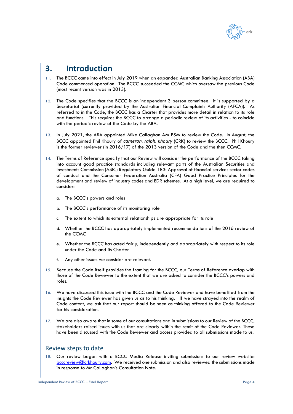

# **3. Introduction**

- 11. The BCCC came into effect in July 2019 when an expanded Australian Banking Association (ABA) Code commenced operation. The BCCC succeeded the CCMC which oversaw the previous Code (most recent version was in 2013).
- 12. The Code specifies that the BCCC is an independent 3 person committee. It is supported by a Secretariat (currently provided by the Australian Financial Complaints Authority (AFCA)). As referred to in the Code, the BCCC has a Charter that provides more detail in relation to its role and functions. This requires the BCCC to arrange a periodic review of its activities - to coincide with the periodic review of the Code by the ABA.
- 13. In July 2021, the ABA appointed Mike Callaghan AM PSM to review the Code. In August, the BCCC appointed Phil Khoury of *cameron. ralph. khoury* (CRK) to review the BCCC. Phil Khoury is the former reviewer (in 2016/17) of the 2013 version of the Code and the then CCMC.
- 14. The Terms of Reference specify that our Review will consider the performance of the BCCC taking into account good practice standards including relevant parts of the Australian Securities and Investments Commission (ASIC) Regulatory Guide 183: Approval of financial services sector codes of conduct and the Consumer Federation Australia (CFA) Good Practice Principles for the development and review of industry codes and EDR schemes. At a high level, we are required to consider:
	- a. The BCCC's powers and roles
	- b. The BCCC's performance of its monitoring role
	- c. The extent to which its external relationships are appropriate for its role
	- d. Whether the BCCC has appropriately implemented recommendations of the 2016 review of the CCMC
	- e. Whether the BCCC has acted fairly, independently and appropriately with respect to its role under the Code and its Charter
	- f. Any other issues we consider are relevant.
- 15. Because the Code itself provides the framing for the BCCC, our Terms of Reference overlap with those of the Code Reviewer to the extent that we are asked to consider the BCCC's powers and roles.
- 16. We have discussed this issue with the BCCC and the Code Reviewer and have benefited from the insights the Code Reviewer has given us as to his thinking. If we have strayed into the realm of Code content, we ask that our report should be seen as thinking offered to the Code Reviewer for his consideration.
- 17. We are also aware that in some of our consultations and in submissions to our Review of the BCCC, stakeholders raised issues with us that are clearly within the remit of the Code Reviewer. These have been discussed with the Code Reviewer and access provided to all submissions made to us.

## Review steps to date

18. Our review began with a BCCC Media Release inviting submissions to our review website: [bcccreview@crkhoury.com.](mailto:bcccreview@crkhoury.com) We received one submission and also reviewed the submissions made in response to Mr Callaghan's Consultation Note.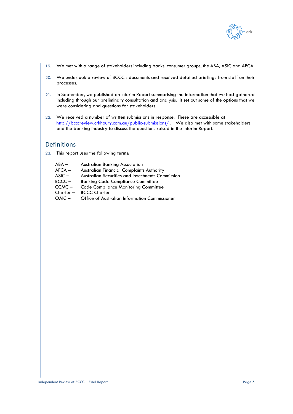

- 19. We met with a range of stakeholders including banks, consumer groups, the ABA, ASIC and AFCA.
- 20. We undertook a review of BCCC's documents and received detailed briefings from staff on their processes.
- 21. In September, we published an Interim Report summarising the information that we had gathered including through our preliminary consultation and analysis. It set out some of the options that we were considering and questions for stakeholders.
- 22. We received a number of written submissions in response. These are accessible at <http://bcccreview.crkhoury.com.au/public-submissions/>. We also met with some stakeholders and the banking industry to discuss the questions raised in the Interim Report.

# Definitions

23. This report uses the following terms:

| $ABA -$     | <b>Australian Banking Association</b>                   |
|-------------|---------------------------------------------------------|
| $AFCA -$    | <b>Australian Financial Complaints Authority</b>        |
| $ASIC -$    | <b>Australian Securities and Investments Commission</b> |
| $BCCC -$    | <b>Banking Code Compliance Committee</b>                |
| $CCMC -$    | <b>Code Compliance Monitoring Committee</b>             |
| $Chapter -$ | <b>BCCC Charter</b>                                     |
| $OAIC -$    | Office of Australian Information Commissioner           |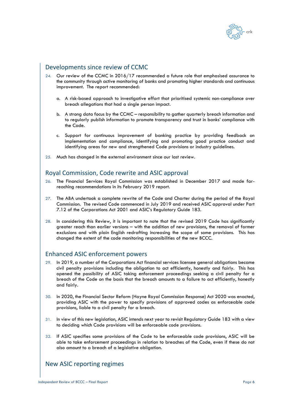

# Developments since review of CCMC

- 24. Our review of the CCMC in 2016/17 recommended a future role that emphasised assurance to the community through active monitoring of banks and promoting higher standards and continuous improvement. The report recommended:
	- a. A risk-based approach to investigative effort that prioritised systemic non-compliance over breach allegations that had a single person impact.
	- b. A strong data focus by the CCMC responsibility to gather quarterly breach information and to regularly publish information to promote transparency and trust in banks' compliance with the Code.
	- c. Support for continuous improvement of banking practice by providing feedback on implementation and compliance, identifying and promoting good practice conduct and identifying areas for new and strengthened Code provisions or industry guidelines.
- 25. Much has changed in the external environment since our last review.

## Royal Commission, Code rewrite and ASIC approval

- 26. The Financial Services Royal Commission was established in December 2017 and made farreaching recommendations in its February 2019 report.
- 27. The ABA undertook a complete rewrite of the Code and Charter during the period of the Royal Commission. The revised Code commenced in July 2019 and received ASIC approval under Part 7.12 of the Corporations Act 2001 and ASIC's Regulatory Guide 183.
- 28. In considering this Review, it is important to note that the revised 2019 Code has significantly greater reach than earlier versions – with the addition of new provisions, the removal of former exclusions and with plain English redrafting increasing the scope of some provisions. This has changed the extent of the code monitoring responsibilities of the new BCCC.

## Enhanced ASIC enforcement powers

- 29. In 2019, a number of the Corporations Act financial services licensee general obligations became civil penalty provisions including the obligation to act efficiently, honestly and fairly. This has opened the possibility of ASIC taking enforcement proceedings seeking a civil penalty for a breach of the Code on the basis that the breach amounts to a failure to act efficiently, honestly and fairly.
- 30. In 2020, the Financial Sector Reform (Hayne Royal Commission Response) Act 2020 was enacted, providing ASIC with the power to specify provisions of approved codes as enforceable code provisions, liable to a civil penalty for a breach.
- 31. In view of this new legislation, ASIC intends next year to revisit Regulatory Guide 183 with a view to deciding which Code provisions will be enforceable code provisions.
- 32. If ASIC specifies some provisions of the Code to be enforceable code provisions, ASIC will be able to take enforcement proceedings in relation to breaches of the Code, even if these do not also amount to a breach of a legislative obligation.

# New ASIC reporting regimes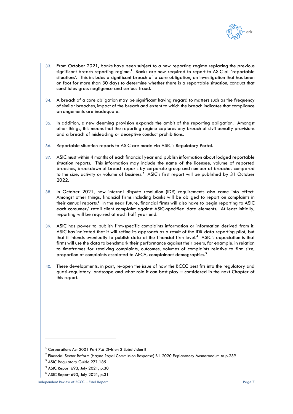

- 33. From October 2021, banks have been subject to a new reporting regime replacing the previous significant breach reporting regime.<sup>1</sup> Banks are now required to report to ASIC all 'reportable situations'. This includes a significant breach of a core obligation, an investigation that has been on foot for more than 30 days to determine whether there is a reportable situation, conduct that constitutes gross negligence and serious fraud.
- 34. A breach of a core obligation may be significant having regard to matters such as the frequency of similar breaches, impact of the breach and extent to which the breach indicates that compliance arrangements are inadequate.
- 35. In addition, a new deeming provision expands the ambit of the reporting obligation. Amongst other things, this means that the reporting regime captures any breach of civil penalty provisions and a breach of misleading or deceptive conduct prohibitions.
- 36. Reportable situation reports to ASIC are made via ASIC's Regulatory Portal.
- 37. ASIC must within 4 months of each financial year end publish information about lodged reportable situation reports. This information may include the name of the licensee, volume of reported breaches, breakdown of breach reports by corporate group and number of breaches compared to the size, activity or volume of business.**<sup>2</sup>** ASIC's first report will be published by 31 October 2022.
- 38. In October 2021, new internal dispute resolution (IDR) requirements also came into effect. Amongst other things, financial firms including banks will be obliged to report on complaints in their annual reports.**<sup>3</sup>** In the near future, financial firms will also have to begin reporting to ASIC each consumer/ retail client complaint against ASIC-specified data elements. At least initially, reporting will be required at each half year end.
- 39. ASIC has power to publish firm-specific complaints information or information derived from it. ASIC has indicated that it will refine its approach as a result of the IDR data reporting pilot, but that it intends eventually to publish data at the financial firm level.**<sup>4</sup>** ASIC's expectation is that firms will use the data to benchmark their performance against their peers, for example, in relation to timeframes for resolving complaints, outcomes, volumes of complaints relative to firm size, proportion of complaints escalated to AFCA, complainant demographics.**<sup>5</sup>**
- These developments, in part, re-open the issue of how the BCCC best fits into the regulatory and quasi-regulatory landscape and what role it can best play – considered in the next Chapter of this report.

**<sup>1</sup>** Corporations Act 2001 Part 7.6 Division 3 Subdivision B

**<sup>2</sup>** Financial Sector Reform (Hayne Royal Commission Response) Bill 2020 Explanatory Memorandum to p.239

**<sup>3</sup>** ASIC Regulatory Guide 271.185

**<sup>4</sup>** ASIC Report 693, July 2021, p.30

**<sup>5</sup>** ASIC Report 693, July 2021, p.31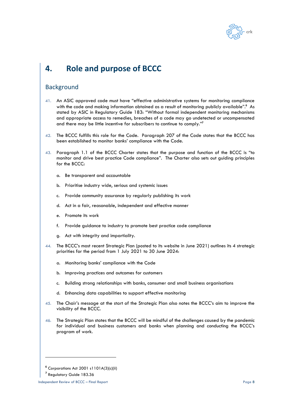

# **4. Role and purpose of BCCC**

## **Background**

- 41. An ASIC approved code must have "effective administrative systems for monitoring compliance with the code and making information obtained as a result of monitoring publicly available".**<sup>6</sup>** As stated by ASIC in Regulatory Guide 183: "Without formal independent monitoring mechanisms and appropriate access to remedies, breaches of a code may go undetected or uncompensated and there may be little incentive for subscribers to continue to comply."**<sup>7</sup>**
- <span id="page-7-0"></span>42. The BCCC fulfills this role for the Code. Paragraph 207 of the Code states that the BCCC has been established to monitor banks' compliance with the Code.
- <span id="page-7-1"></span>43. Paragraph 1.1 of the BCCC Charter states that the purpose and function of the BCCC is "to monitor and drive best practice Code compliance". The Charter also sets out guiding principles for the BCCC:
	- a. Be transparent and accountable
	- b. Prioritise industry wide, serious and systemic issues
	- c. Provide community assurance by regularly publishing its work
	- d. Act in a fair, reasonable, independent and effective manner
	- e. Promote its work
	- f. Provide guidance to industry to promote best practice code compliance
	- g. Act with integrity and impartiality.
- 44. The BCCC's most recent Strategic Plan (posted to its website in June 2021) outlines its 4 strategic priorities for the period from 1 July 2021 to 30 June 2024:
	- a. Monitoring banks' compliance with the Code
	- b. Improving practices and outcomes for customers
	- c. Building strong relationships with banks, consumer and small business organisations
	- d. Enhancing data capabilities to support effective monitoring
- 45. The Chair's message at the start of the Strategic Plan also notes the BCCC's aim to improve the visibility of the BCCC.
- 46. The Strategic Plan states that the BCCC will be mindful of the challenges caused by the pandemic for individual and business customers and banks when planning and conducting the BCCC's program of work.

**<sup>6</sup>** Corporations Act 2001 s1101A(3)(c)(ii)

**<sup>7</sup>** Regulatory Guide 183.36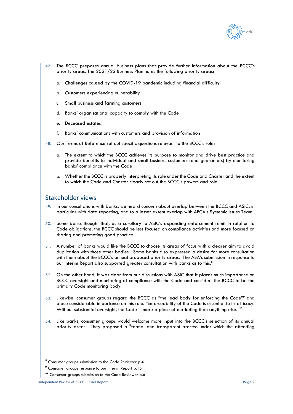

- 47. The BCCC prepares annual business plans that provide further information about the BCCC's priority areas. The 2021/22 Business Plan notes the following priority areas:
	- a. Challenges caused by the COVID-19 pandemic including financial difficulty
	- b. Customers experiencing vulnerability
	- c. Small business and farming customers
	- d. Banks' organisational capacity to comply with the Code
	- e. Deceased estates
	- f. Banks' communications with customers and provision of information
- 48. Our Terms of Reference set out specific questions relevant to the BCCC's role:
	- a. The extent to which the BCCC achieves its purpose to monitor and drive best practice and provide benefits to individual and small business customers (and guarantors) by monitoring banks' compliance with the Code
	- b. Whether the BCCC is properly interpreting its role under the Code and Charter and the extent to which the Code and Charter clearly set out the BCCC's powers and role.

## Stakeholder views

- 49. In our consultations with banks, we heard concern about overlap between the BCCC and ASIC, in particular with data reporting, and to a lesser extent overlap with AFCA's Systemic Issues Team.
- 50. Some banks thought that, as a corollary to ASIC's expanding enforcement remit in relation to Code obligations, the BCCC should be less focused on compliance activities and more focused on sharing and promoting good practice.
- 51. A number of banks would like the BCCC to choose its areas of focus with a clearer aim to avoid duplication with those other bodies. Some banks also expressed a desire for more consultation with them about the BCCC's annual proposed priority areas. The ABA's submission in response to our Interim Report also supported greater consultation with banks as to this.**<sup>8</sup>**
- 52. On the other hand, it was clear from our discussions with ASIC that it places much importance on BCCC oversight and monitoring of compliance with the Code and considers the BCCC to be the primary Code monitoring body.
- 53. Likewise, consumer groups regard the BCCC as "the lead body for enforcing the Code"**<sup>9</sup>** and place considerable importance on this role. "Enforceability of the Code is essential to its efficacy. Without substantial oversight, the Code is more a piece of marketing than anything else."**<sup>10</sup>**
- 54. Like banks, consumer groups would welcome more input into the BCCC's selection of its annual priority areas. They proposed a "formal and transparent process under which the attending

**<sup>8</sup>** Consumer groups submission to the Code Reviewer p.4

<sup>&</sup>lt;sup>9</sup> Consumer groups response to our Interim Report p.15

**<sup>10</sup>** Consumer groups submission to the Code Reviewer p.6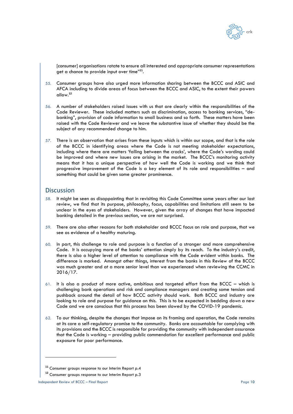

[consumer] organisations rotate to ensure all interested and appropriate consumer representations get a chance to provide input over time"**<sup>11</sup>** .

- 55. Consumer groups have also urged more information sharing between the BCCC and ASIC and AFCA including to divide areas of focus between the BCCC and ASIC, to the extent their powers allow. **12**
- 56. A number of stakeholders raised issues with us that are clearly within the responsibilities of the Code Reviewer. These included matters such as discrimination, access to banking services, "debanking", provision of code information to small business and so forth. These matters have been raised with the Code Reviewer and we leave the substantive issue of whether they should be the subject of any recommended change to him.
- <span id="page-9-0"></span>57. There is an observation that arises from these inputs which is within our scope, and that is the role of the BCCC in identifying areas where the Code is not meeting stakeholder expectations, including where there are matters 'falling between the cracks', where the Code's wording could be improved and where new issues are arising in the market. The BCCC's monitoring activity means that it has a unique perspective of how well the Code is working and we think that progressive improvement of the Code is a key element of its role and responsibilities – and something that could be given some greater prominence.

## **Discussion**

- 58. It might be seen as disappointing that in revisiting this Code Committee some years after our last review, we find that its purpose, philosophy, focus, capabilities and limitations still seem to be unclear in the eyes of stakeholders. However, given the array of changes that have impacted banking detailed in the previous section, we are not surprised.
- 59. There are also other reasons for both stakeholder and BCCC focus on role and purpose, that we see as evidence of a healthy maturing.
- 60. In part, this challenge to role and purpose is a function of a stronger and more comprehensive Code. It is occupying more of the banks' attention simply by its reach. To the industry's credit, there is also a higher level of attention to compliance with the Code evident within banks. The difference is marked. Amongst other things, interest from the banks in this Review of the BCCC was much greater and at a more senior level than we experienced when reviewing the CCMC in 2016/17.
- 61. It is also a product of more active, ambitious and targeted effort from the BCCC which is challenging bank operations and risk and compliance managers and creating some tension and pushback around the detail of how BCCC activity should work. Both BCCC and industry are looking to role and purpose for guidance on this. This is to be expected in bedding down a new Code and we are conscious that this process has been slowed by the COVID-19 pandemic.
- 62. To our thinking, despite the changes that impose on its framing and operation, the Code remains at its core a self-regulatory promise to the community. Banks are accountable for complying with its provisions and the BCCC is responsible for providing the community with independent assurance that the Code is working – providing public commendation for excellent performance and public exposure for poor performance.

**<sup>11</sup>** Consumer groups response to our Interim Report p.4

**<sup>12</sup>** Consumer groups response to our Interim Report p.3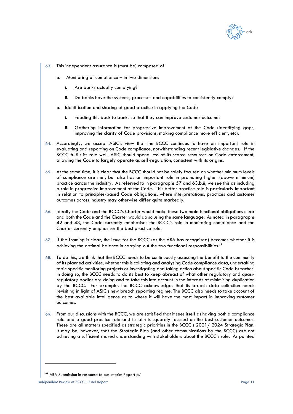

- <span id="page-10-1"></span>63. This independent assurance is (must be) composed of:
	- a. Monitoring of compliance in two dimensions
		- i. Are banks actually complying?
		- ii. Do banks have the systems, processes and capabilities to consistently comply?
	- b. Identification and sharing of good practice in applying the Code
		- i. Feeding this back to banks so that they can improve customer outcomes
		- ii. Gathering information for progressive improvement of the Code (identifying gaps, improving the clarity of Code provisions, making compliance more efficient, etc).
- <span id="page-10-0"></span>64. Accordingly, we accept ASIC's view that the BCCC continues to have an important role in evaluating and reporting on Code compliance, notwithstanding recent legislative changes. If the BCCC fulfils its role well, ASIC should spend less of its scarce resources on Code enforcement, allowing the Code to largely operate as self-regulation, consistent with its origins.
- 65. At the same time, it is clear that the BCCC should not be solely focused on whether minimum levels of compliance are met, but also has an important role in promoting higher (above minimum) practice across the industry. As referred to in paragraphs [57](#page-9-0) and [63.b.ii,](#page-10-0) we see this as including a role in progressive improvement of the Code. This better practice role is particularly important in relation to principles-based Code obligations, where interpretations, practices and customer outcomes across industry may otherwise differ quite markedly.
- 66. Ideally the Code and the BCCC's Charter would make these two main functional obligations clear and both the Code and the Charter would do so using the same language. As noted in paragraphs [42](#page-7-0) and [43,](#page-7-1) the Code currently emphasises the BCCC's role in monitoring compliance and the Charter currently emphasises the best practice role.
- 67. If the framing is clear, the issue for the BCCC (as the ABA has recognised) becomes whether it is achieving the optimal balance in carrying out the two functional responsibilities. **13**
- 68. To do this, we think that the BCCC needs to be continuously assessing the benefit to the community of its planned activities, whether this is collating and analysing Code compliance data, undertaking topic-specific monitoring projects or investigating and taking action about specific Code breaches. In doing so, the BCCC needs to do its best to keep abreast of what other regulatory and quasiregulatory bodies are doing and to take this into account in the interests of minimising duplication by the BCCC. For example, the BCCC acknowledges that its breach data collection needs revisiting in light of ASIC's new breach reporting regime. The BCCC also needs to take account of the best available intelligence as to where it will have the most impact in improving customer outcomes.
- 69. From our discussions with the BCCC, we are satisfied that it sees itself as having both a compliance role and a good practice role and its aim is squarely focused on the best customer outcomes. These are all matters specified as strategic priorities in the BCCC's 2021/ 2024 Strategic Plan. It may be, however, that the Strategic Plan (and other communications by the BCCC) are not achieving a sufficient shared understanding with stakeholders about the BCCC's role. As pointed

**<sup>13</sup>** ABA Submission in response to our Interim Report p.1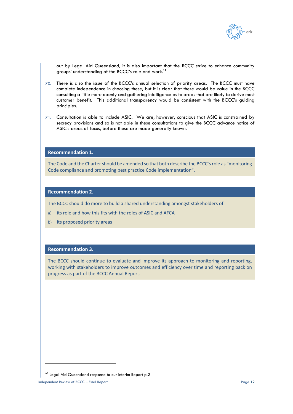

out by Legal Aid Queensland, it is also important that the BCCC strive to enhance community groups' understanding of the BCCC's role and work.**<sup>14</sup>**

- 70. There is also the issue of the BCCC's annual selection of priority areas. The BCCC must have complete independence in choosing these, but it is clear that there would be value in the BCCC consulting a little more openly and gathering intelligence as to areas that are likely to derive most customer benefit. This additional transparency would be consistent with the BCCC's guiding principles.
- 71. Consultation is able to include ASIC. We are, however, conscious that ASIC is constrained by secrecy provisions and so is not able in these consultations to give the BCCC advance notice of ASIC's areas of focus, before these are made generally known.

### **Recommendation 1.**

The Code and the Charter should be amended so that both describe the BCCC's role as "monitoring Code compliance and promoting best practice Code implementation".

#### **Recommendation 2.**

The BCCC should do more to build a shared understanding amongst stakeholders of:

- a) its role and how this fits with the roles of ASIC and AFCA
- b) its proposed priority areas

### **Recommendation 3.**

The BCCC should continue to evaluate and improve its approach to monitoring and reporting, working with stakeholders to improve outcomes and efficiency over time and reporting back on progress as part of the BCCC Annual Report.

**<sup>14</sup>** Legal Aid Queensland response to our Interim Report p.2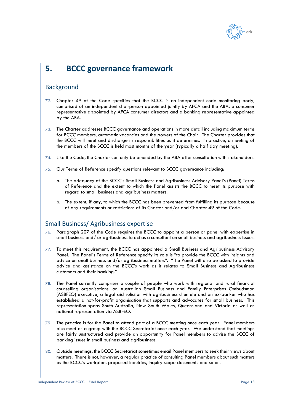

# **5. BCCC governance framework**

# Background

- 72. Chapter 49 of the Code specifies that the BCCC is an independent code monitoring body, comprised of an independent chairperson appointed jointly by AFCA and the ABA, a consumer representative appointed by AFCA consumer directors and a banking representative appointed by the ABA.
- 73. The Charter addresses BCCC governance and operations in more detail including maximum terms for BCCC members, automatic vacancies and the powers of the Chair. The Charter provides that the BCCC will meet and discharge its responsibilities as it determines. In practice, a meeting of the members of the BCCC is held most months of the year (typically a half day meeting).
- 74. Like the Code, the Charter can only be amended by the ABA after consultation with stakeholders.
- 75. Our Terms of Reference specify questions relevant to BCCC governance including:
	- a. The adequacy of the BCCC's Small Business and Agribusiness Advisory Panel's (Panel) Terms of Reference and the extent to which the Panel assists the BCCC to meet its purpose with regard to small business and agribusiness matters.
	- b. The extent, if any, to which the BCCC has been prevented from fulfilling its purpose because of any requirements or restrictions of its Charter and/or and Chapter 49 of the Code.

# Small Business/ Agribusiness expertise

- 76. Paragraph 207 of the Code requires the BCCC to appoint a person or panel with expertise in small business and/ or agribusiness to act as a consultant on small business and agribusiness issues.
- 77. To meet this requirement, the BCCC has appointed a Small Business and Agribusiness Advisory Panel. The Panel's Terms of Reference specify its role is "to provide the BCCC with insights and advice on small business and/or agribusiness matters". "The Panel will also be asked to provide advice and assistance on the BCCC's work as it relates to Small Business and Agribusiness customers and their banking."
- 78. The Panel currently comprises a couple of people who work with regional and rural financial counselling organisations, an Australian Small Business and Family Enterprises Ombudsman (ASBFEO) executive, a legal aid solicitor with agribusiness clientele and an ex-banker who has established a not-for-profit organisation that supports and advocates for small business. This representation spans South Australia, New South Wales, Queensland and Victoria as well as national representation via ASBFEO.
- 79. The practice is for the Panel to attend part of a BCCC meeting once each year. Panel members also meet as a group with the BCCC Secretariat once each year. We understand that meetings are fairly unstructured and provide an opportunity for Panel members to advise the BCCC of banking issues in small business and agribusiness.
- 80. Outside meetings, the BCCC Secretariat sometimes email Panel members to seek their views about matters. There is not, however, a regular practice of consulting Panel members about such matters as the BCCC's workplan, proposed Inquiries, Inquiry scope documents and so on.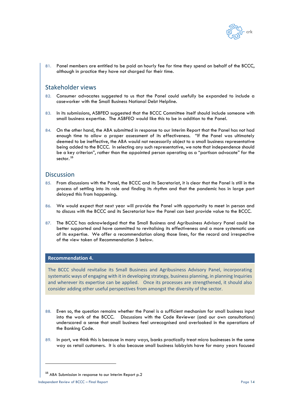

81. Panel members are entitled to be paid an hourly fee for time they spend on behalf of the BCCC, although in practice they have not charged for their time.

## Stakeholder views

- 82. Consumer advocates suggested to us that the Panel could usefully be expanded to include a caseworker with the Small Business National Debt Helpline.
- 83. In its submissions, ASBFEO suggested that the BCCC Committee itself should include someone with small business expertise. The ASBFEO would like this to be in addition to the Panel.
- 84. On the other hand, the ABA submitted in response to our Interim Report that the Panel has not had enough time to allow a proper assessment of its effectiveness. "If the Panel was ultimately deemed to be ineffective, the ABA would not necessarily object to a small business representative being added to the BCCC. In selecting any such representative, we note that independence should be a key criterion", rather than the appointed person operating as a "partisan advocate" for the sector. **<sup>15</sup>**

## **Discussion**

- 85. From discussions with the Panel, the BCCC and its Secretariat, it is clear that the Panel is still in the process of settling into its role and finding its rhythm and that the pandemic has in large part delayed this from happening.
- 86. We would expect that next year will provide the Panel with opportunity to meet in person and to discuss with the BCCC and its Secretariat how the Panel can best provide value to the BCCC.
- 87. The BCCC has acknowledged that the Small Business and Agribusiness Advisory Panel could be better supported and have committed to revitalising its effectiveness and a more systematic use of its expertise. We offer a recommendation along those lines, for the record and irrespective of the view taken of Recommendation 5 below.

## **Recommendation 4.**

The BCCC should revitalise its Small Business and Agribusiness Advisory Panel, incorporating systematic ways of engaging with it in developing strategy, business planning, in planning Inquiries and wherever its expertise can be applied. Once its processes are strengthened, it should also consider adding other useful perspectives from amongst the diversity of the sector.

- 88. Even so, the question remains whether the Panel is a sufficient mechanism for small business input into the work of the BCCC. Discussions with the Code Reviewer (and our own consultations) underscored a sense that small business feel unrecognised and overlooked in the operations of the Banking Code.
- 89. In part, we think this is because in many ways, banks practically treat micro businesses in the same way as retail customers. It is also because small business lobbyists have for many years focused

**<sup>15</sup>** ABA Submission in response to our Interim Report p.2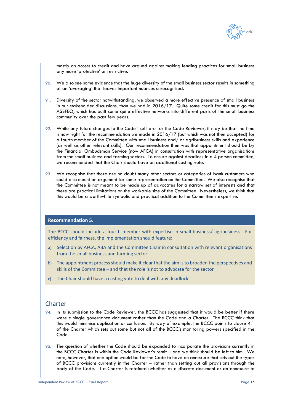

mostly on access to credit and have argued against making lending practices for small business any more 'protective' or restrictive.

- 90. We also see some evidence that the huge diversity of the small business sector results in something of an 'averaging' that leaves important nuances unrecognised.
- 91. Diversity of the sector notwithstanding, we observed a more effective presence of small business in our stakeholder discussions, than we had in 2016/17. Quite some credit for this must go the ASBFEO, which has built some quite effective networks into different parts of the small business community over the past few years.
- 92. While any future changes to the Code itself are for the Code Reviewer, it may be that the time is now right for the recommendation we made in 2016/17 (but which was not then accepted) for a fourth member of the Committee with small business and/ or agribusiness skills and experience (as well as other relevant skills). Our recommendation then was that appointment should be by the Financial Ombudsman Service (now AFCA) in consultation with representative organisations from the small business and farming sectors. To ensure against deadlock in a 4 person committee, we recommended that the Chair should have an additional casting vote.
- 93. We recognise that there are no doubt many other sectors or categories of bank customers who could also mount an argument for some representation on the Committee. We also recognise that the Committee is not meant to be made up of advocates for a narrow set of interests and that there are practical limitations on the workable size of the Committee. Nevertheless, we think that this would be a worthwhile symbolic and practical addition to the Committee's expertise.

## **Recommendation 5.**

The BCCC should include a fourth member with expertise in small business/ agribusiness. For efficiency and fairness, the implementation should feature:

- a) Selection by AFCA, ABA and the Committee Chair in consultation with relevant organisations from the small business and farming sector
- b) The appointment process should make it clear that the aim is to broaden the perspectives and skills of the Committee – and that the role is not to advocate for the sector
- c) The Chair should have a casting vote to deal with any deadlock

### Charter

- 94. In its submission to the Code Reviewer, the BCCC has suggested that it would be better if there were a single governance document rather than the Code and a Charter. The BCCC think that this would minimise duplication or confusion. By way of example, the BCCC points to clause 4.1 of the Charter which sets out some but not all of the BCCC's monitoring powers specified in the Code.
- 95. The question of whether the Code should be expanded to incorporate the provisions currently in the BCCC Charter is within the Code Reviewer's remit – and we think should be left to him. We note, however, that one option would be for the Code to have an annexure that sets out the types of BCCC provisions currently in the Charter – rather than setting out all provisions through the body of the Code. If a Charter is retained (whether as a discrete document or an annexure to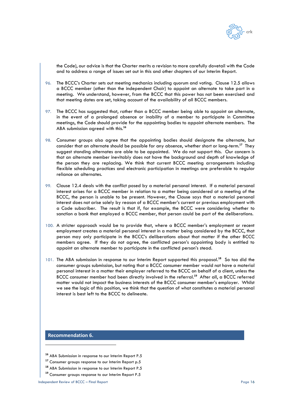

the Code), our advice is that the Charter merits a revision to more carefully dovetail with the Code and to address a range of issues set out in this and other chapters of our Interim Report.

- 96. The BCCC's Charter sets out meeting mechanics including quorum and voting. Clause 12.5 allows a BCCC member (other than the independent Chair) to appoint an alternate to take part in a meeting. We understand, however, from the BCCC that this power has not been exercised and that meeting dates are set, taking account of the availability of all BCCC members.
- 97. The BCCC has suggested that, rather than a BCCC member being able to appoint an alternate, in the event of a prolonged absence or inability of a member to participate in Committee meetings, the Code should provide for the appointing bodies to appoint alternate members. The ABA submission agreed with this.**<sup>16</sup>**
- 98. Consumer groups also agree that the appointing bodies should designate the alternate, but consider that an alternate should be possible for any absence, whether short or long-term.**<sup>17</sup>** They suggest standing alternates are able to be appointed. We do not support this. Our concern is that an alternate member inevitably does not have the background and depth of knowledge of the person they are replacing. We think that current BCCC meeting arrangements including flexible scheduling practices and electronic participation in meetings are preferable to regular reliance on alternates.
- 99. Clause 12.4 deals with the conflict posed by a material personal interest. If a material personal interest arises for a BCCC member in relation to a matter being considered at a meeting of the BCCC, the person is unable to be present. However, the Clause says that a material personal interest does not arise solely by reason of a BCCC member's current or previous employment with a Code subscriber. The result is that if, for example, the BCCC were considering whether to sanction a bank that employed a BCCC member, that person could be part of the deliberations.
- 100. A stricter approach would be to provide that, where a BCCC member's employment or recent employment creates a material personal interest in a matter being considered by the BCCC, that person may only participate in the BCCC's deliberations about that matter if the other BCCC members agree. If they do not agree, the conflicted person's appointing body is entitled to appoint an alternate member to participate in the conflicted person's stead.
- 101. The ABA submission in response to our Interim Report supported this proposal.<sup>18</sup> So too did the consumer groups submission, but noting that a BCCC consumer member would not have a material personal interest in a matter their employer referred to the BCCC on behalf of a client, unless the BCCC consumer member had been directly involved in the referral. **19** After all, a BCCC referred matter would not impact the business interests of the BCCC consumer member's employer. Whilst we see the logic of this position, we think that the question of what constitutes a material personal interest is best left to the BCCC to delineate.

#### **Recommendation 6.**

- **<sup>16</sup>** ABA Submission in response to our Interim Report P.5
- **<sup>17</sup>** Consumer groups response to our Interim Report p.5
- **<sup>18</sup>** ABA Submission in response to our Interim Report P.5
- **<sup>19</sup>** Consumer groups response to our Interim Report P.5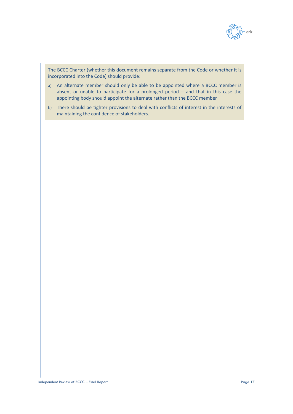

The BCCC Charter (whether this document remains separate from the Code or whether it is incorporated into the Code) should provide:

- a) An alternate member should only be able to be appointed where a BCCC member is absent or unable to participate for a prolonged period – and that in this case the appointing body should appoint the alternate rather than the BCCC member
- b) There should be tighter provisions to deal with conflicts of interest in the interests of maintaining the confidence of stakeholders.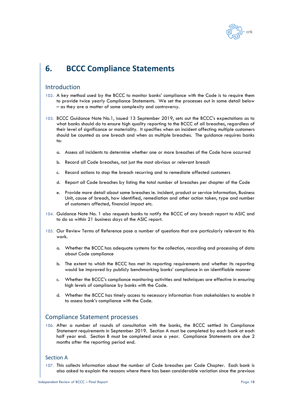

# **6. BCCC Compliance Statements**

## Introduction

- 102. A key method used by the BCCC to monitor banks' compliance with the Code is to require them to provide twice yearly Compliance Statements. We set the processes out in some detail below – as they are a matter of some complexity and controversy.
- 103. BCCC Guidance Note No.1, issued 13 September 2019, sets out the BCCC's expectations as to what banks should do to ensure high quality reporting to the BCCC of all breaches, regardless of their level of significance or materiality. It specifies when an incident affecting multiple customers should be counted as one breach and when as multiple breaches. The guidance requires banks to:
	- a. Assess all incidents to determine whether one or more breaches of the Code have occurred
	- b. Record all Code breaches, not just the most obvious or relevant breach
	- c. Record actions to stop the breach recurring and to remediate affected customers
	- d. Report all Code breaches by listing the total number of breaches per chapter of the Code
	- e. Provide more detail about some breaches ie. incident, product or service information, Business Unit, cause of breach, how identified, remediation and other action taken, type and number of customers affected, financial impact etc.
- 104. Guidance Note No. 1 also requests banks to notify the BCCC of any breach report to ASIC and to do so within 21 business days of the ASIC report.
- 105. Our Review Terms of Reference pose a number of questions that are particularly relevant to this work.
	- a. Whether the BCCC has adequate systems for the collection, recording and processing of data about Code compliance
	- b. The extent to which the BCCC has met its reporting requirements and whether its reporting would be improved by publicly benchmarking banks' compliance in an identifiable manner
	- c. Whether the BCCC's compliance monitoring activities and techniques are effective in ensuring high levels of compliance by banks with the Code.
	- d. Whether the BCCC has timely access to necessary information from stakeholders to enable it to assess bank's compliance with the Code.

## Compliance Statement processes

106. After a number of rounds of consultation with the banks, the BCCC settled its Compliance Statement requirements in September 2019. Section A must be completed by each bank at each half year end. Section B must be completed once a year. Compliance Statements are due 2 months after the reporting period end.

### Section A

107. This collects information about the number of Code breaches per Code Chapter. Each bank is also asked to explain the reasons where there has been considerable variation since the previous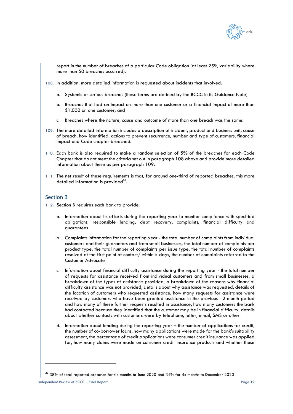

report in the number of breaches of a particular Code obligation (at least 25% variability where more than 50 breaches occurred).

- <span id="page-18-0"></span>108. In addition, more detailed information is requested about incidents that involved:
	- a. Systemic or serious breaches (these terms are defined by the BCCC in its Guidance Note)
	- b. Breaches that had an impact on more than one customer or a financial impact of more than \$1,000 on one customer, and
	- c. Breaches where the nature, cause and outcome of more than one breach was the same.
- <span id="page-18-1"></span>109. The more detailed information includes a description of incident, product and business unit, cause of breach, how identified, actions to prevent recurrence, number and type of customers, financial impact and Code chapter breached.
- <span id="page-18-6"></span>110. Each bank is also required to make a random selection of 5% of the breaches for each Code Chapter that do not meet the criteria set out in paragraph [108](#page-18-0) above and provide more detailed information about these as per paragraph [109.](#page-18-1)
- 111. The net result of these requirements is that, for around one-third of reported breaches, this more detailed information is provided<sup>20</sup>.

#### Section B

- <span id="page-18-4"></span><span id="page-18-3"></span><span id="page-18-2"></span>112. Section B requires each bank to provide:
	- a. Information about its efforts during the reporting year to monitor compliance with specified obligations: responsible lending, debt recovery, complaints, financial difficulty and guarantees
	- b. Complaints information for the reporting year the total number of complaints from individual customers and their guarantors and from small businesses, the total number of complaints per product type, the total number of complaints per issue type, the total number of complaints resolved at the first point of contact/ within 5 days, the number of complaints referred to the Customer Advocate
	- c. Information about financial difficulty assistance during the reporting year the total number of requests for assistance received from individual customers and from small businesses, a breakdown of the types of assistance provided, a breakdown of the reasons why financial difficulty assistance was not provided, details about why assistance was requested, details of the location of customers who requested assistance, how many requests for assistance were received by customers who have been granted assistance in the previous 12 month period and how many of these further requests resulted in assistance, how many customers the bank had contacted because they identified that the customer may be in financial difficulty, details about whether contacts with customers were by telephone, letter, email, SMS or other
	- d. Information about lending during the reporting year the number of applications for credit, the number of co-borrower loans, how many applications were made for the bank's suitability assessment, the percentage of credit applications were consumer credit insurance was applied for, how many claims were made on consumer credit insurance products and whether these

<span id="page-18-5"></span>**<sup>20</sup>** 38% of total reported breaches for six months to June 2020 and 34% for six months to December 2020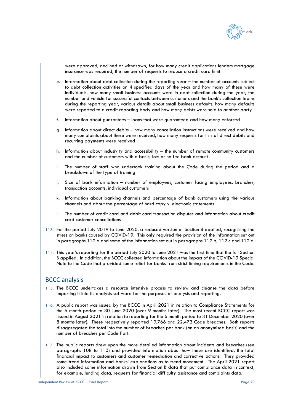

were approved, declined or withdrawn, for how many credit applications lenders mortgage insurance was required, the number of requests to reduce a credit card limit

- e. Information about debt collection during the reporting year the number of accounts subject to debt collection activities on 4 specified days of the year and how many of these were individuals, how many small business accounts were in debt collection during the year, the number and vehicle for successful contacts between customers and the bank's collection teams during the reporting year, various details about small business defaults, how many defaults were reported to a credit reporting body and how many debts were sold to another party
- f. Information about guarantees loans that were guaranteed and how many enforced
- g. Information about direct debits how many cancellation instructions were received and how many complaints about these were received, how many requests for lists of direct debits and recurring payments were received
- h. Information about inclusivity and accessibility the number of remote community customers and the number of customers with a basic, low or no fee bank account
- i. The number of staff who undertook training about the Code during the period and a breakdown of the type of training
- j. Size of bank information number of employees, customer facing employees, branches, transaction accounts, individual customers
- k. Information about banking channels and percentage of bank customers using the various channels and about the percentage of hard copy v. electronic statements
- l. The number of credit card and debit card transaction disputes and information about credit card customer cancellations
- 113. For the period July 2019 to June 2020, a reduced version of Section B applied, recognising the stress on banks caused by COVID-19. This only required the provision of the information set out in paragraph[s 112.a](#page-18-2) and some of the information set out in paragraphs [112.b,](#page-18-3) [112.c](#page-18-4) an[d 112.d.](#page-18-5)
- 114. This year's reporting for the period July 2020 to June 2021 was the first time that the full Section B applied. In addition, the BCCC collected information about the impact of the COVID-19 Special Note to the Code that provided some relief for banks from strict timing requirements in the Code.

## BCCC analysis

- 115. The BCCC undertakes a resource intensive process to review and cleanse the data before importing it into its analysis software for the purposes of analysis and reporting.
- 116. A public report was issued by the BCCC in April 2021 in relation to Compliance Statements for the 6 month period to 30 June 2020 (over 9 months later). The most recent BCCC report was issued in August 2021 in relation to reporting for the 6 month period to 31 December 2020 (over 8 months later). These respectively reported 19,766 and 22,473 Code breaches. Both reports disaggregated the total into the number of breaches per bank (on an anonymised basis) and the number of breaches per Code Part.
- 117. The public reports drew upon the more detailed information about incidents and breaches (see paragraphs [108](#page-18-0) to [110\)](#page-18-6) and provided information about how these are identified, the total financial impact to customers and customer remediation and corrective actions. They provided some trend information and banks' explanations as to trend movement. The April 2021 report also included some information drawn from Section B data that put compliance data in context, for example, lending data, requests for financial difficulty assistance and complaints data.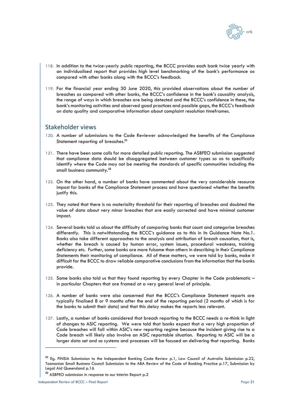

- 118. In addition to the twice-yearly public reporting, the BCCC provides each bank twice yearly with an individualised report that provides high level benchmarking of the bank's performance as compared with other banks along with the BCCC's feedback.
- 119. For the financial year ending 30 June 2020, this provided observations about the number of breaches as compared with other banks, the BCCC's confidence in the bank's causality analysis, the range of ways in which breaches are being detected and the BCCC's confidence in these, the bank's monitoring activities and observed good practices and possible gaps, the BCCC's feedback on data quality and comparative information about complaint resolution timeframes.

## Stakeholder views

- 120. A number of submissions to the Code Reviewer acknowledged the benefits of the Compliance Statement reporting of breaches.**<sup>21</sup>**
- 121. There have been some calls for more detailed public reporting. The ASBFEO submission suggested that compliance data should be disaggregated between customer types so as to specifically identify where the Code may not be meeting the standards of specific communities including the small business community.**<sup>22</sup>**
- 122. On the other hand, a number of banks have commented about the very considerable resource impost for banks of the Compliance Statement process and have questioned whether the benefits justify this.
- 123. They noted that there is no materiality threshold for their reporting of breaches and doubted the value of data about very minor breaches that are easily corrected and have minimal customer impact.
- 124. Several banks told us about the difficulty of comparing banks that count and categorise breaches differently. This is notwithstanding the BCCC's guidance as to this in its Guidance Note No.1. Banks also take different approaches to the analysis and attribution of breach causation, that is, whether the breach is caused by human error, system issues, procedural weakness, training deficiency etc. Further, some banks are more fulsome than others in describing in their Compliance Statements their monitoring of compliance. All of these matters, we were told by banks, make it difficult for the BCCC to draw reliable comparative conclusions from the information that the banks provide.
- 125. Some banks also told us that they found reporting by every Chapter in the Code problematic in particular Chapters that are framed at a very general level of principle.
- 126. A number of banks were also concerned that the BCCC's Compliance Statement reports are typically finalised 8 or 9 months after the end of the reporting period (2 months of which is for the banks to submit their data) and that this delay makes the reports less relevant.
- 127. Lastly, a number of banks considered that breach reporting to the BCCC needs a re-think in light of changes to ASIC reporting. We were told that banks expect that a very high proportion of Code breaches will fall within ASIC's new reporting regime because the incident giving rise to a Code breach will likely also involve an ASIC reportable situation. Reporting to ASIC will be a larger data set and so systems and processes will be focused on delivering that reporting. Banks

**<sup>21</sup>** Eg. FINSIA Submission to the Independent Banking Code Review p.1, Law Council of Australia Submission p.22, Tasmanian Small Business Council Submission to the ABA Review of the Code of Banking Practice p.17, Submission by Legal Aid Queensland p.16

**<sup>22</sup>** ASBFEO submission in response to our Interim Report p.2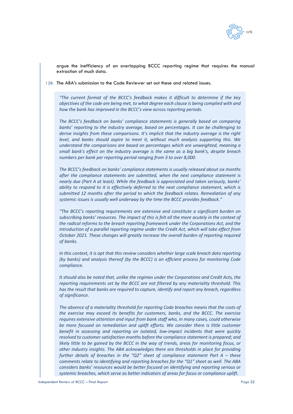

argue the inefficiency of an overlapping BCCC reporting regime that requires the manual extraction of much data.

128. The ABA's submission to the Code Reviewer set out these and related issues.

*"The current format of the BCCC's feedback makes it difficult to determine if the key objectives of the code are being met, to what degree each clause is being complied with and how the bank has improved in the BCCC's view across reporting periods.*

*The BCCC's feedback on banks' compliance statements is generally based on comparing banks' reporting to the industry average, based on percentages. It can be challenging to derive insights from these comparisons. It's implicit that the industry average is the right level, and banks should aspire to meet it, without much analysis supporting this. We understand the comparisons are based on percentages which are unweighted, meaning a small bank's effect on the industry average is the same as a big bank's, despite breach numbers per bank per reporting period ranging from 3 to over 8,000.*

*The BCCC's feedback on banks' compliance statements is usually released about six months after the compliance statements are submitted, when the next compliance statement is nearly due (Part A at least). While the feedback is appreciated and taken seriously, banks' ability to respond to it is effectively deferred to the next compliance statement, which is submitted 12 months after the period to which the feedback relates. Remediation of any systemic issues is usually well underway by the time the BCCC provides feedback."*

*"The BCCC's reporting requirements are extensive and constitute a significant burden on subscribing banks' resources. The impact of this is felt all the more acutely in the context of the radical reforms to the breach reporting framework under the Corporations Act, and the introduction of a parallel reporting regime under the Credit Act, which will take effect from October 2021. These changes will greatly increase the overall burden of reporting required of banks.* 

*In this context, it is apt that this review considers whether large scale breach data reporting (by banks) and analysis thereof (by the BCCC) is an efficient process for monitoring Code compliance.* 

*It should also be noted that, unlike the regimes under the Corporations and Credit Acts, the reporting requirements set by the BCCC are not filtered by any materiality threshold. This has the result that banks are required to capture, identify and report any breach, regardless of significance.* 

*The absence of a materiality threshold for reporting Code breaches means that the costs of the exercise may exceed its benefits for customers, banks, and the BCCC. The exercise requires extensive attention and input from bank staff who, in many cases, could otherwise be more focused on remediation and uplift efforts. We consider there is little customer benefit in assessing and reporting on isolated, low-impact incidents that were quickly resolved to customer satisfaction months before the compliance statement is prepared; and likely little to be gained by the BCCC in the way of trends, areas for monitoring focus, or other industry insights. The ABA acknowledges there are thresholds in place for providing further details of breaches in the "Q2" sheet of compliance statement Part A – these comments relate to identifying and reporting breaches for the "Q1" sheet as well. The ABA considers banks' resources would be better focused on identifying and reporting serious or systemic breaches, which serve as better indicators of areas for focus or compliance uplift.*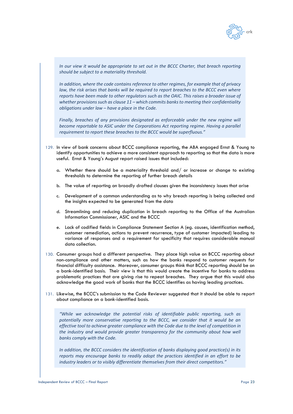

*In our view it would be appropriate to set out in the BCCC Charter, that breach reporting should be subject to a materiality threshold.* 

*In addition, where the code contains reference to other regimes, for example that of privacy*  law, the risk arises that banks will be required to report breaches to the BCCC even where *reports have been made to other regulators such as the OAIC. This raises a broader issue of whether provisions such as clause 11 – which commits banks to meeting their confidentiality obligations under law – have a place in the Code.* 

*Finally, breaches of any provisions designated as enforceable under the new regime will become reportable to ASIC under the Corporations Act reporting regime. Having a parallel requirement to report these breaches to the BCCC would be superfluous."*

- 129. In view of bank concerns about BCCC compliance reporting, the ABA engaged Ernst & Young to identify opportunities to achieve a more consistent approach to reporting so that the data is more useful. Ernst & Young's August report raised issues that included:
	- a. Whether there should be a materiality threshold and/ or increase or change to existing thresholds to determine the reporting of further breach details
	- b. The value of reporting on broadly drafted clauses given the inconsistency issues that arise
	- c. Development of a common understanding as to why breach reporting is being collected and the insights expected to be generated from the data
	- d. Streamlining and reducing duplication in breach reporting to the Office of the Australian Information Commissioner, ASIC and the BCCC
	- e. Lack of codified fields in Compliance Statement Section A (eg. causes, identification method, customer remediation, actions to prevent recurrence, type of customer impacted) leading to variance of responses and a requirement for specificity that requires considerable manual data collection.
- 130. Consumer groups had a different perspective. They place high value on BCCC reporting about non-compliance and other matters, such as how the banks respond to customer requests for financial difficulty assistance. Moreover, consumer groups think that BCCC reporting should be on a bank-identified basis. Their view is that this would create the incentive for banks to address problematic practices that are giving rise to repeat breaches. They argue that this would also acknowledge the good work of banks that the BCCC identifies as having leading practices.
- 131. Likewise, the BCCC's submission to the Code Reviewer suggested that it should be able to report about compliance on a bank-identified basis.

*"While we acknowledge the potential risks of identifiable public reporting, such as potentially more conservative reporting to the BCCC, we consider that it would be an*  effective tool to achieve greater compliance with the Code due to the level of competition in the industry and would provide greater transparency for the community about how well *banks comply with the Code.*

*In addition, the BCCC considers the identification of banks displaying good practice(s) in its reports may encourage banks to readily adopt the practices identified in an effort to be industry leaders or to visibly differentiate themselves from their direct competitors."*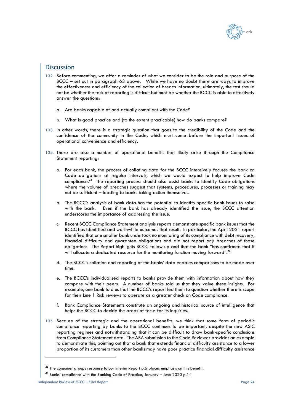

# **Discussion**

- 132. Before commenting, we offer a reminder of what we consider to be the role and purpose of the BCCC – set out in paragraph [63](#page-10-1) above. While we have no doubt there are ways to improve the effectiveness and efficiency of the collection of breach information, ultimately, the test should not be whether the task of reporting is difficult but must be whether the BCCC is able to effectively answer the questions:
	- a. Are banks capable of and actually compliant with the Code?
	- b. What is good practice and (to the extent practicable) how do banks compare?
- 133. In other words, there is a strategic question that goes to the credibility of the Code and the confidence of the community in the Code, which must come before the important issues of operational convenience and efficiency.
- 134. There are also a number of operational benefits that likely arise through the Compliance Statement reporting:
	- a. For each bank, the process of collating data for the BCCC intensively focuses the bank on Code obligations at regular intervals, which we would expect to help improve Code compliance.**<sup>23</sup>** The reporting process should also assist banks to identify Code obligations where the volume of breaches suggest that systems, procedures, processes or training may not be sufficient – leading to banks taking action themselves.
	- b. The BCCC's analysis of bank data has the potential to identify specific bank issues to raise with the bank. Even if the bank has already identified the issue, the BCCC attention underscores the importance of addressing the issue.
	- c. Recent BCCC Compliance Statement analysis reports demonstrate specific bank issues that the BCCC has identified and worthwhile outcomes that result. In particular, the April 2021 report identified that one smaller bank undertook no monitoring of its compliance with debt recovery, financial difficulty and guarantee obligations and did not report any breaches of those obligations. The Report highlights BCCC follow up and that the bank "has confirmed that it will allocate a dedicated resource for the monitoring function moving forward".<sup>24</sup>
	- d. The BCCC's collation and reporting of the banks' data enables comparisons to be made over time.
	- e. The BCCC's individualised reports to banks provide them with information about how they compare with their peers. A number of banks told us that they value these insights. For example, one bank told us that the BCCC's report led them to question whether there is scope for their Line 1 Risk reviews to operate as a greater check on Code compliance.
	- Bank Compliance Statements constitute an ongoing and historical source of intelligence that helps the BCCC to decide the areas of focus for its Inquiries.
- 135. Because of the strategic and the operational benefits, we think that some form of periodic compliance reporting by banks to the BCCC continues to be important, despite the new ASIC reporting regimes and notwithstanding that it can be difficult to draw bank-specific conclusions from Compliance Statement data. The ABA submission to the Code Reviewer provides an example to demonstrate this, pointing out that a bank that extends financial difficulty assistance to a lower proportion of its customers than other banks may have poor practice financial difficulty assistance

<sup>&</sup>lt;sup>23</sup> The consumer groups response to our Interim Report p.6 places emphasis on this benefit.

**<sup>24</sup>** Banks' compliance with the Banking Code of Practice, January – June 2020 p.14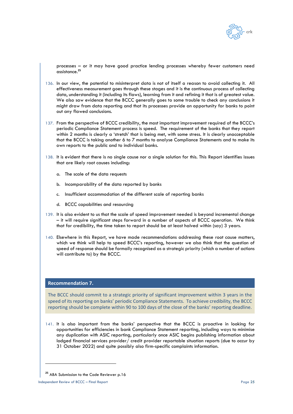

processes – or it may have good practice lending processes whereby fewer customers need assistance.**<sup>25</sup>**

- 136. In our view, the potential to misinterpret data is not of itself a reason to avoid collecting it. All effectiveness measurement goes through these stages and it is the continuous process of collecting data, understanding it (including its flaws), learning from it and refining it that is of greatest value. We also saw evidence that the BCCC generally goes to some trouble to check any conclusions it might draw from data reporting and that its processes provide an opportunity for banks to point out any flawed conclusions.
- 137. From the perspective of BCCC credibility, the most important improvement required of the BCCC's periodic Compliance Statement process is speed. The requirement of the banks that they report within 2 months is clearly a 'stretch' that is being met, with some stress. It is clearly unacceptable that the BCCC is taking another 6 to 7 months to analyse Compliance Statements and to make its own reports to the public and to individual banks.
- 138. It is evident that there is no single cause nor a single solution for this. This Report identifies issues that are likely root causes including:
	- a. The scale of the data requests
	- b. Incomparability of the data reported by banks
	- c. Insufficient accommodation of the different scale of reporting banks
	- d. BCCC capabilities and resourcing
- 139. It is also evident to us that the scale of speed improvement needed is beyond incremental change – it will require significant steps forward in a number of aspects of BCCC operation. We think that for credibility, the time taken to report should be at least halved within (say) 3 years.
- 140. Elsewhere in this Report, we have made recommendations addressing these root cause matters, which we think will help to speed BCCC's reporting, however we also think that the question of speed of response should be formally recognised as a strategic priority (which a number of actions will contribute to) by the BCCC.

#### **Recommendation 7.**

The BCCC should commit to a strategic priority of significant improvement within 3 years in the speed of its reporting on banks' periodic Compliance Statements. To achieve credibility, the BCCC reporting should be complete within 90 to 100 days of the close of the banks' reporting deadline.

141. It is also important from the banks' perspective that the BCCC is proactive in looking for opportunities for efficiencies in bank Compliance Statement reporting, including ways to minimise any duplication with ASIC reporting, particularly once ASIC begins publishing information about lodged financial services provider/ credit provider reportable situation reports (due to occur by 31 October 2022) and quite possibly also firm-specific complaints information.

**<sup>25</sup>** ABA Submission to the Code Reviewer p.16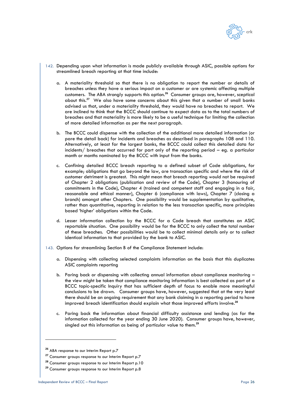

- 142. Depending upon what information is made publicly available through ASIC, possible options for streamlined breach reporting at that time include:
	- a. A materiality threshold so that there is no obligation to report the number or details of breaches unless they have a serious impact on a customer or are systemic affecting multiple customers. The ABA strongly supports this option.**<sup>26</sup>** Consumer groups are, however, sceptical about this.**<sup>27</sup>** We also have some concerns about this given that a number of small banks advised us that, under a materiality threshold, they would have no breaches to report. We are inclined to think that the BCCC should continue to expect data as to the total numbers of breaches and that materiality is more likely to be a useful technique for limiting the collection of more detailed information as per the next paragraph.
	- b. The BCCC could dispense with the collection of the additional more detailed information (or pare the detail back) for incidents and breaches as described in paragraphs [108](#page-18-0) and [110.](#page-18-6) Alternatively, at least for the largest banks, the BCCC could collect this detailed data for incidents/ breaches that occurred for part only of the reporting period – eg. a particular month or months nominated by the BCCC with input from the banks.
	- c. Confining detailed BCCC breach reporting to a defined subset of Code obligations, for example; obligations that go beyond the law, are transaction specific and where the risk of customer detriment is greatest. This might mean that breach reporting would not be required of Chapter 2 obligations (publication and review of the Code), Chapter 3 (honouring of commitments in the Code), Chapter 4 (trained and competent staff and engaging in a fair, reasonable and ethical manner), Chapter 6 (compliance with laws), Chapter 7 (closing a branch) amongst other Chapters. One possibility would be supplementation by qualitative, rather than quantitative, reporting in relation to the less transaction specific, more principles based 'higher' obligations within the Code.
	- d. Lesser information collection by the BCCC for a Code breach that constitutes an ASIC reportable situation. One possibility would be for the BCCC to only collect the total number of these breaches. Other possibilities would be to collect minimal details only or to collect identical information to that provided by the bank to ASIC.
- 143. Options for streamlining Section B of the Compliance Statement include:
	- a. Dispensing with collecting selected complaints information on the basis that this duplicates ASIC complaints reporting
	- b. Paring back or dispensing with collecting annual information about compliance monitoring the view might be taken that compliance monitoring information is best collected as part of a BCCC topic-specific Inquiry that has sufficient depth of focus to enable more meaningful conclusions to be drawn. Consumer groups have, however, suggested that at the very least there should be an ongoing requirement that any bank claiming in a reporting period to have improved breach identification should explain what those improved efforts involve.**<sup>28</sup>**
	- c. Paring back the information about financial difficulty assistance and lending (as for the information collected for the year ending 30 June 2020). Consumer groups have, however, singled out this information as being of particular value to them.**<sup>29</sup>**

**<sup>26</sup>** ABA response to our Interim Report p.7

**<sup>27</sup>** Consumer groups response to our Interim Report p.7

**<sup>28</sup>** Consumer groups response to our Interim Report p.10

**<sup>29</sup>** Consumer groups response to our Interim Report p.8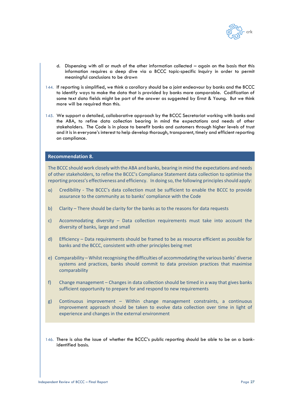

- d. Dispensing with all or much of the other information collected again on the basis that this information requires a deep dive via a BCCC topic-specific Inquiry in order to permit meaningful conclusions to be drawn
- 144. If reporting is simplified, we think a corollary should be a joint endeavour by banks and the BCCC to identify ways to make the data that is provided by banks more comparable. Codification of some text data fields might be part of the answer as suggested by Ernst & Young. But we think more will be required than this.
- 145. We support a detailed, collaborative approach by the BCCC Secretariat working with banks and the ABA, to refine data collection bearing in mind the expectations and needs of other stakeholders. The Code is in place to benefit banks and customers through higher levels of trust and it is in everyone's interest to help develop thorough, transparent, timely and efficient reporting on compliance.

## **Recommendation 8.**

The BCCC should work closely with the ABA and banks, bearing in mind the expectations and needs of other stakeholders, to refine the BCCC's Compliance Statement data collection to optimise the reporting process's effectiveness and efficiency. In doing so, the following principles should apply:

- a) Credibility The BCCC's data collection must be sufficient to enable the BCCC to provide assurance to the community as to banks' compliance with the Code
- b) Clarity There should be clarity for the banks as to the reasons for data requests
- c) Accommodating diversity Data collection requirements must take into account the diversity of banks, large and small
- d) Efficiency Data requirements should be framed to be as resource efficient as possible for banks and the BCCC, consistent with other principles being met
- e) Comparability Whilst recognising the difficulties of accommodating the various banks' diverse systems and practices, banks should commit to data provision practices that maximise comparability
- f) Change management Changes in data collection should be timed in a way that gives banks sufficient opportunity to prepare for and respond to new requirements
- g) Continuous improvement Within change management constraints, a continuous improvement approach should be taken to evolve data collection over time in light of experience and changes in the external environment
- 146. There is also the issue of whether the BCCC's public reporting should be able to be on a bankidentified basis.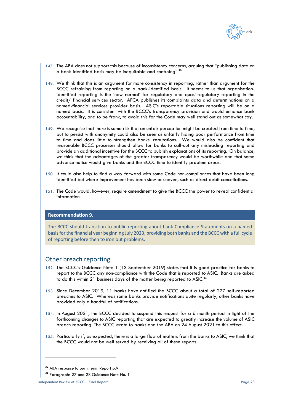

- 147. The ABA does not support this because of inconsistency concerns, arguing that "publishing data on a bank-identified basis may be inequitable and confusing". **30**
- 148. We think that this is an argument for more consistency in reporting, rather than argument for the BCCC refraining from reporting on a bank-identified basis. It seems to us that organisationidentified reporting is the 'new normal' for regulatory and quasi-regulatory reporting in the credit/ financial services sector. AFCA publishes its complaints data and determinations on a named-financial services provider basis. ASIC's reportable situations reporting will be on a named basis. It is consistent with the BCCC's transparency provision and would enhance bank accountability, and to be frank, to avoid this for the Code may well stand out as somewhat coy.
- 149. We recognise that there is some risk that an unfair perception might be created from time to time, but to persist with anonymity could also be seen as unfairly hiding poor performance from time to time and does little to strengthen banks' reputations. We would also be confident that reasonable BCCC processes should allow for banks to call-out any misleading reporting and provide an additional incentive for the BCCC to publish explanations of its reporting. On balance, we think that the advantages of the greater transparency would be worthwhile and that some advance notice would give banks and the BCCC time to identify problem areas.
- 150. It could also help to find a way forward with some Code non-compliances that have been long identified but where improvement has been slow or uneven, such as direct debit cancellations.
- 151. The Code would, however, require amendment to give the BCCC the power to reveal confidential information.

## **Recommendation 9.**

The BCCC should transition to public reporting about bank Compliance Statements on a named basis for the financial year beginning July 2023, providing both banks and the BCCC with a full cycle of reporting before then to iron out problems.

## Other breach reporting

- 152. The BCCC's Guidance Note 1 (13 September 2019) states that it is good practice for banks to report to the BCCC any non-compliance with the Code that is reported to ASIC. Banks are asked to do this within 21 business days of the matter being reported to ASIC.**<sup>31</sup>**
- 153. Since December 2019, 11 banks have notified the BCCC about a total of 227 self-reported breaches to ASIC. Whereas some banks provide notifications quite regularly, other banks have provided only a handful of notifications.
- 154. In August 2021, the BCCC decided to suspend this request for a 6 month period in light of the forthcoming changes to ASIC reporting that are expected to greatly increase the volume of ASIC breach reporting. The BCCC wrote to banks and the ABA on 24 August 2021 to this effect.
- 155. Particularly if, as expected, there is a large flow of matters from the banks to ASIC, we think that the BCCC would not be well served by receiving all of these reports.

**<sup>30</sup>** ABA response to our Interim Report p.9

**<sup>31</sup>** Paragraphs 27 and 28 Guidance Note No. 1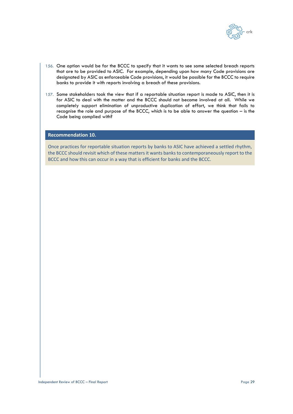

- 156. One option would be for the BCCC to specify that it wants to see some selected breach reports that are to be provided to ASIC. For example, depending upon how many Code provisions are designated by ASIC as enforceable Code provisions, it would be possible for the BCCC to require banks to provide it with reports involving a breach of these provisions.
- 157. Some stakeholders took the view that if a reportable situation report is made to ASIC, then it is for ASIC to deal with the matter and the BCCC should not become involved at all. While we completely support elimination of unproductive duplication of effort, we think that fails to recognise the role and purpose of the BCCC, which is to be able to answer the question – is the Code being complied with?

## **Recommendation 10.**

Once practices for reportable situation reports by banks to ASIC have achieved a settled rhythm, the BCCC should revisit which of these matters it wants banks to contemporaneously report to the BCCC and how this can occur in a way that is efficient for banks and the BCCC.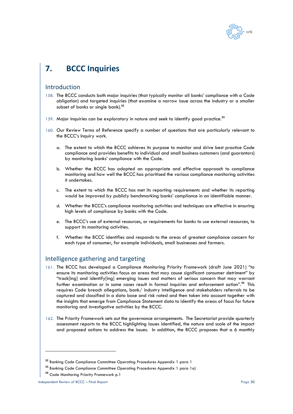

# <span id="page-29-0"></span>**7. BCCC Inquiries**

## Introduction

- 158. The BCCC conducts both major inquiries (that typically monitor all banks' compliance with a Code obligation) and targeted inquiries (that examine a narrow issue across the industry or a smaller subset of banks or single bank).**<sup>32</sup>**
- 159. Major inquiries can be exploratory in nature and seek to identify good practice.**<sup>33</sup>**
- 160. Our Review Terms of Reference specify a number of questions that are particularly relevant to the BCCC's Inquiry work.
	- a. The extent to which the BCCC achieves its purpose to monitor and drive best practice Code compliance and provides benefits to individual and small business customers (and guarantors) by monitoring banks' compliance with the Code.
	- b. Whether the BCCC has adopted an appropriate and effective approach to compliance monitoring and how well the BCCC has prioritised the various compliance monitoring activities it undertakes.
	- c. The extent to which the BCCC has met its reporting requirements and whether its reporting would be improved by publicly benchmarking banks' compliance in an identifiable manner.
	- d. Whether the BCCC's compliance monitoring activities and techniques are effective in ensuring high levels of compliance by banks with the Code.
	- e. The BCCC's use of external resources, or requirements for banks to use external resources, to support its monitoring activities.
	- f. Whether the BCCC identifies and responds to the areas of greatest compliance concern for each type of consumer, for example individuals, small businesses and farmers.

## Intelligence gathering and targeting

- 161. The BCCC has developed a Compliance Monitoring Priority Framework (draft June 2021) "to ensure its monitoring activities focus on areas that may cause significant consumer detriment" by "track[ing] and identify[ing] emerging issues and matters of serious concern that may warrant further examination or in some cases result in formal inquiries and enforcement action".**<sup>34</sup>** This requires Code breach allegations, bank/ industry intelligence and stakeholders referrals to be captured and classified in a data base and risk rated and then taken into account together with the insights that emerge from Compliance Statement data to identify the areas of focus for future monitoring and investigative activities by the BCCC.
- 162. The Priority Framework sets out the governance arrangements. The Secretariat provide quarterly assessment reports to the BCCC highlighting issues identified, the nature and scale of the impact and proposed actions to address the issues. In addition, the BCCC proposes that a 6 monthly

**<sup>32</sup>** Banking Code Compliance Committee Operating Procedures Appendix 1 para 1

**<sup>33</sup>** Banking Code Compliance Committee Operating Procedures Appendix 1 para 1a)

**<sup>34</sup>** Code Monitoring Priority Framework p.1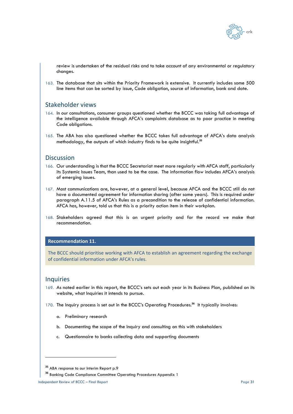

review is undertaken of the residual risks and to take account of any environmental or regulatory changes.

163. The database that sits within the Priority Framework is extensive. It currently includes some 500 line items that can be sorted by issue, Code obligation, source of information, bank and date.

## Stakeholder views

- 164. In our consultations, consumer groups questioned whether the BCCC was taking full advantage of the intelligence available through AFCA's complaints database as to poor practice in meeting Code obligations.
- 165. The ABA has also questioned whether the BCCC takes full advantage of AFCA's data analysis methodology, the outputs of which industry finds to be quite insightful.**<sup>35</sup>**

## Discussion

- 166. Our understanding is that the BCCC Secretariat meet more regularly with AFCA staff, particularly its Systemic Issues Team, than used to be the case. The information flow includes AFCA's analysis of emerging issues.
- 167. Most communications are, however, at a general level, because AFCA and the BCCC still do not have a documented agreement for information sharing (after some years). This is required under paragraph A.11.5 of AFCA's Rules as a precondition to the release of confidential information. AFCA has, however, told us that this is a priority action item in their workplan.
- 168. Stakeholders agreed that this is an urgent priority and for the record we make that recommendation.

### **Recommendation 11.**

The BCCC should prioritise working with AFCA to establish an agreement regarding the exchange of confidential information under AFCA's rules.

## Inquiries

- 169. As noted earlier in this report, the BCCC's sets out each year in its Business Plan, published on its website, what Inquiries it intends to pursue.
- 170. The Inquiry process is set out in the BCCC's Operating Procedures.**<sup>36</sup>** It typically involves:
	- a. Preliminary research
	- b. Documenting the scope of the Inquiry and consulting on this with stakeholders
	- c. Questionnaire to banks collecting data and supporting documents

<sup>&</sup>lt;sup>35</sup> ABA response to our Interim Report p.9

**<sup>36</sup>** Banking Code Compliance Committee Operating Procedures Appendix 1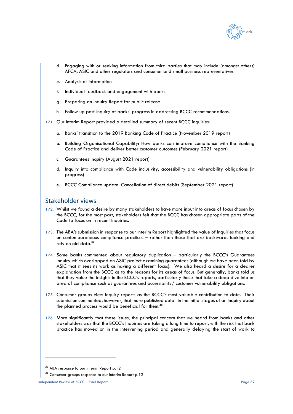

- d. Engaging with or seeking information from third parties that may include (amongst others) AFCA, ASIC and other regulators and consumer and small business representatives
- e. Analysis of information
- f. Individual feedback and engagement with banks
- g. Preparing an Inquiry Report for public release
- h. Follow up post-Inquiry of banks' progress in addressing BCCC recommendations.
- 171. Our Interim Report provided a detailed summary of recent BCCC inquiries:
	- a. Banks' transition to the 2019 Banking Code of Practice (November 2019 report)
	- b. Building Organisational Capability: How banks can improve compliance with the Banking Code of Practice and deliver better customer outcomes (February 2021 report)
	- c. Guarantees Inquiry (August 2021 report)
	- d. Inquiry into compliance with Code inclusivity, accessibility and vulnerability obligations (in progress)
	- e. BCCC Compliance update: Cancellation of direct debits (September 2021 report)

# Stakeholder views

- 172. Whilst we found a desire by many stakeholders to have more input into areas of focus chosen by the BCCC, for the most part, stakeholders felt that the BCCC has chosen appropriate parts of the Code to focus on in recent Inquiries.
- 173. The ABA's submission in response to our Interim Report highlighted the value of Inquiries that focus on contemporaneous compliance practices – rather than those that are backwards looking and rely on old data.**<sup>37</sup>**
- 174. Some banks commented about regulatory duplication particularly the BCCC's Guarantees Inquiry which overlapped an ASIC project examining guarantees (although we have been told by ASIC that it sees its work as having a different focus). We also heard a desire for a clearer explanation from the BCCC as to the reasons for its areas of focus. But generally, banks told us that they value the insights in the BCCC's reports, particularly those that take a deep dive into an area of compliance such as guarantees and accessibility/ customer vulnerability obligations.
- 175. Consumer groups view Inquiry reports as the BCCC's most valuable contribution to date. Their submission commented, however, that more published detail in the initial stages of an Inquiry about the planned process would be beneficial for them.**<sup>38</sup>**
- 176. More significantly that these issues, the principal concern that we heard from banks and other stakeholders was that the BCCC's Inquiries are taking a long time to report, with the risk that bank practice has moved on in the intervening period and generally delaying the start of work to

**<sup>37</sup>** ABA response to our Interim Report p.12

**<sup>38</sup>** Consumer groups response to our Interim Report p.12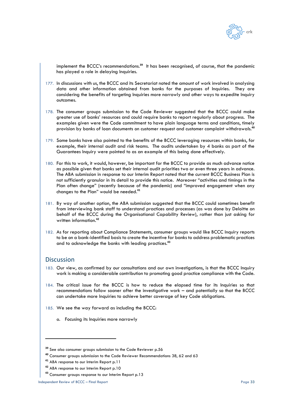

implement the BCCC's recommendations.**<sup>39</sup>** It has been recognised, of course, that the pandemic has played a role in delaying Inquiries.

- 177. In discussions with us, the BCCC and its Secretariat noted the amount of work involved in analysing data and other information obtained from banks for the purposes of Inquiries. They are considering the benefits of targeting Inquiries more narrowly and other ways to expedite Inquiry outcomes.
- 178. The consumer groups submission to the Code Reviewer suggested that the BCCC could make greater use of banks' resources and could require banks to report regularly about progress. The examples given were the Code commitment to have plain language terms and conditions, timely provision by banks of loan documents on customer request and customer complaint withdrawals.**<sup>40</sup>**
- 179. Some banks have also pointed to the benefits of the BCCC leveraging resources within banks, for example, their internal audit and risk teams. The audits undertaken by 4 banks as part of the Guarantees Inquiry were pointed to as an example of this being done effectively.
- 180. For this to work, it would, however, be important for the BCCC to provide as much advance notice as possible given that banks set their internal audit priorities two or even three years in advance. The ABA submission in response to our Interim Report noted that the current BCCC Business Plan is not sufficiently granular in its detail to provide this notice. Moreover "activities and timings in the Plan often change" (recently because of the pandemic) and "improved engagement when any changes to the Plan" would be needed.**<sup>41</sup>**
- 181. By way of another option, the ABA submission suggested that the BCCC could sometimes benefit from interviewing bank staff to understand practices and processes (as was done by Deloitte on behalf of the BCCC during the Organisational Capability Review), rather than just asking for written information.**<sup>42</sup>**
- 182. As for reporting about Compliance Statements, consumer groups would like BCCC Inquiry reports to be on a bank-identified basis to create the incentive for banks to address problematic practices and to acknowledge the banks with leading practices.**<sup>43</sup>**

## Discussion

- 183. Our view, as confirmed by our consultations and our own investigations, is that the BCCC Inquiry work is making a considerable contribution to promoting good practice compliance with the Code.
- 184. The critical issue for the BCCC is how to reduce the elapsed time for its Inquiries so that recommendations follow sooner after the investigative work – and potentially so that the BCCC can undertake more Inquiries to achieve better coverage of key Code obligations.
- 185. We see the way forward as including the BCCC:
	- a. Focusing its Inquiries more narrowly

**<sup>39</sup>** See also consumer groups submission to the Code Reviewer p.56

**<sup>40</sup>** Consumer groups submission to the Code Reviewer Recommendations 38, 62 and 63

**<sup>41</sup>** ABA response to our Interim Report p.11

**<sup>42</sup>** ABA response to our Interim Report p.10

**<sup>43</sup>** Consumer groups response to our Interim Report p.13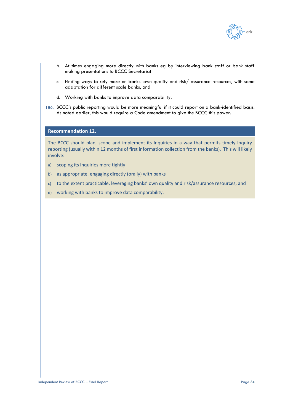

- b. At times engaging more directly with banks eg by interviewing bank staff or bank staff making presentations to BCCC Secretariat
- c. Finding ways to rely more on banks' own quality and risk/ assurance resources, with some adaptation for different scale banks, and
- d. Working with banks to improve data comparability.
- 186. BCCC's public reporting would be more meaningful if it could report on a bank-identified basis. As noted earlier, this would require a Code amendment to give the BCCC this power.

#### **Recommendation 12.**

The BCCC should plan, scope and implement its Inquiries in a way that permits timely Inquiry reporting (usually within 12 months of first information collection from the banks). This will likely involve:

- a) scoping its Inquiries more tightly
- b) as appropriate, engaging directly (orally) with banks
- c) to the extent practicable, leveraging banks' own quality and risk/assurance resources, and
- d) working with banks to improve data comparability.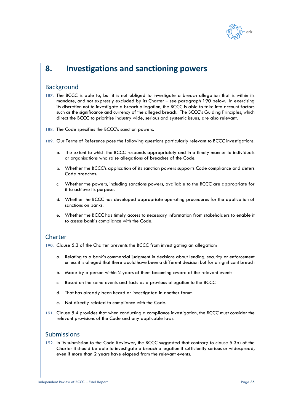

# **8. Investigations and sanctioning powers**

## **Background**

- 187. The BCCC is able to, but it is not obliged to investigate a breach allegation that is within its mandate, and not expressly excluded by its Charter – see paragraph [190](#page-34-0) below. In exercising its discretion not to investigate a breach allegation, the BCCC is able to take into account factors such as the significance and currency of the alleged breach. The BCCC's Guiding Principles, which direct the BCCC to prioritise industry wide, serious and systemic issues, are also relevant.
- 188. The Code specifies the BCCC's sanction powers.
- 189. Our Terms of Reference pose the following questions particularly relevant to BCCC investigations:
	- a. The extent to which the BCCC responds appropriately and in a timely manner to individuals or organisations who raise allegations of breaches of the Code.
	- b. Whether the BCCC's application of its sanction powers supports Code compliance and deters Code breaches.
	- c. Whether the powers, including sanctions powers, available to the BCCC are appropriate for it to achieve its purpose.
	- d. Whether the BCCC has developed appropriate operating procedures for the application of sanctions on banks.
	- e. Whether the BCCC has timely access to necessary information from stakeholders to enable it to assess bank's compliance with the Code.

# **Charter**

- <span id="page-34-0"></span>190. Clause 5.3 of the Charter prevents the BCCC from investigating an allegation:
	- a. Relating to a bank's commercial judgment in decisions about lending, security or enforcement unless it is alleged that there would have been a different decision but for a significant breach
	- b. Made by a person within 2 years of them becoming aware of the relevant events
	- c. Based on the same events and facts as a previous allegation to the BCCC
	- d. That has already been heard or investigated in another forum
	- e. Not directly related to compliance with the Code.
- 191. Clause 5.4 provides that when conducting a compliance investigation, the BCCC must consider the relevant provisions of the Code and any applicable laws.

# Submissions

192. In its submission to the Code Reviewer, the BCCC suggested that contrary to clause 5.3b) of the Charter it should be able to investigate a breach allegation if sufficiently serious or widespread, even if more than 2 years have elapsed from the relevant events.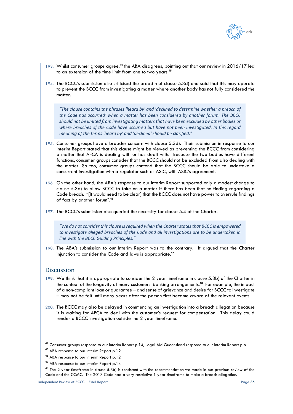

- 193. Whilst consumer groups agree,**<sup>44</sup>** the ABA disagrees, pointing out that our review in 2016/17 led to an extension of the time limit from one to two years.**<sup>45</sup>**
- 194. The BCCC's submission also criticised the breadth of clause 5.3d) and said that this may operate to prevent the BCCC from investigating a matter where another body has not fully considered the matter.

*"The clause contains the phrases 'heard by' and 'declined to determine whether a breach of the Code has occurred' when a matter has been considered by another forum. The BCCC should not be limited from investigating matters that have been excluded by other bodies or where breaches of the Code have occurred but have not been investigated. In this regard meaning of the terms 'heard by' and 'declined' should be clarified."*

- 195. Consumer groups have a broader concern with clause 5.3d). Their submission in response to our Interim Report stated that this clause might be viewed as preventing the BCCC from considering a matter that AFCA is dealing with or has dealt with. Because the two bodies have different functions, consumer groups consider that the BCCC should not be excluded from also dealing with the matter. So too, consumer groups contend that the BCCC should be able to undertake a concurrent investigation with a regulator such as ASIC, with ASIC's agreement.
- 196. On the other hand, the ABA's response to our Interim Report supported only a modest change to clause 5.3d) to allow BCCC to take on a matter if there has been that no finding regarding a Code breach. "[It would need to be clear] that the BCCC does not have power to overrule findings of fact by another forum".**<sup>46</sup>**
- 197. The BCCC's submission also queried the necessity for clause 5.4 of the Charter.

*"We do not consider this clause is required when the Charter states that BCCC is empowered to investigate alleged breaches of the Code and all investigations are to be undertaken in line with the BCCC Guiding Principles."*

198. The ABA's submission to our Interim Report was to the contrary. It argued that the Charter injunction to consider the Code and laws is appropriate.**<sup>47</sup>**

## **Discussion**

- 199. We think that it is appropriate to consider the 2 year timeframe in clause 5.3b) of the Charter in the context of the longevity of many customers' banking arrangements.**<sup>48</sup>** For example, the impact of a non-compliant loan or guarantee – and sense of grievance and desire for BCCC to investigate – may not be felt until many years after the person first became aware of the relevant events.
- 200. The BCCC may also be delayed in commencing an investigation into a breach allegation because it is waiting for AFCA to deal with the customer's request for compensation. This delay could render a BCCC investigation outside the 2 year timeframe.

**<sup>44</sup>** Consumer groups response to our Interim Report p.14, Legal Aid Queensland response to our Interim Report p.6

**<sup>45</sup>** ABA response to our Interim Report p.12

**<sup>46</sup>** ABA response to our Interim Report p.12

**<sup>47</sup>** ABA response to our Interim Report p.13

**<sup>48</sup>** The 2 year timeframe in clause 5.3b) is consistent with the recommendation we made in our previous review of the Code and the CCMC. The 2013 Code had a very restrictive 1 year timeframe to make a breach allegation.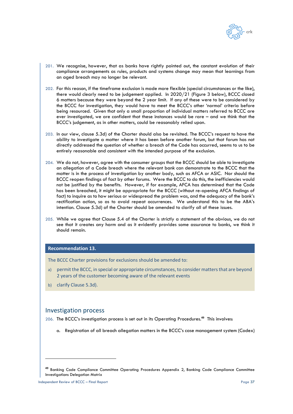

- 201. We recognise, however, that as banks have rightly pointed out, the constant evolution of their compliance arrangements as rules, products and systems change may mean that learnings from an aged breach may no longer be relevant.
- 202. For this reason, if the timeframe exclusion is made more flexible (special circumstances or the like), there would clearly need to be judgement applied. In 2020/21 (Figure 3 below), BCCC closed 6 matters because they were beyond the 2 year limit. If any of these were to be considered by the BCCC for investigation, they would have to meet the BCCC's other 'normal' criteria before being resourced. Given that only a small proportion of individual matters referred to BCCC are ever investigated, we are confident that these instances would be rare – and we think that the BCCC's judgement, as in other matters, could be reasonably relied upon.
- 203. In our view, clause 5.3d) of the Charter should also be revisited. The BCCC's request to have the ability to investigate a matter where it has been before another forum, but that forum has not directly addressed the question of whether a breach of the Code has occurred, seems to us to be entirely reasonable and consistent with the intended purpose of the exclusion.
- 204. We do not, however, agree with the consumer groups that the BCCC should be able to investigate an allegation of a Code breach where the relevant bank can demonstrate to the BCCC that the matter is in the process of investigation by another body, such as AFCA or ASIC. Nor should the BCCC reopen findings of fact by other forums. Were the BCCC to do this, the inefficiencies would not be justified by the benefits. However, if for example, AFCA has determined that the Code has been breached, it might be appropriate for the BCCC (without re-opening AFCA findings of fact) to inquire as to how serious or widespread the problem was, and the adequacy of the bank's rectification action, so as to avoid repeat occurrences. We understand this to be the ABA's intention. Clause 5.3d) of the Charter should be amended to clarify all of these issues.
- 205. While we agree that Clause 5.4 of the Charter is strictly a statement of the obvious, we do not see that it creates any harm and as it evidently provides some assurance to banks, we think it should remain.

#### **Recommendation 13.**

The BCCC Charter provisions for exclusions should be amended to:

- a) permit the BCCC, in special or appropriate circumstances, to consider matters that are beyond 2 years of the customer becoming aware of the relevant events
- b) clarify Clause 5.3d).

## Investigation process

206. The BCCC's investigation process is set out in its Operating Procedures.**<sup>49</sup>** This involves:

a. Registration of all breach allegation matters in the BCCC's case management system (Codex)

**<sup>49</sup>** Banking Code Compliance Committee Operating Procedures Appendix 2, Banking Code Compliance Committee Investigations Delegation Matrix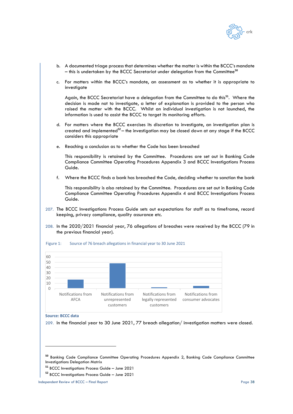

- b. A documented triage process that determines whether the matter is within the BCCC's mandate – this is undertaken by the BCCC Secretariat under delegation from the Committee**<sup>50</sup>**
- c. For matters within the BCCC's mandate, an assessment as to whether it is appropriate to investigate

Again, the BCCC Secretariat have a delegation from the Committee to do this**51**. Where the decision is made not to investigate, a letter of explanation is provided to the person who raised the matter with the BCCC. Whilst an individual investigation is not launched, the information is used to assist the BCCC to target its monitoring efforts.

- d. For matters where the BCCC exercises its discretion to investigate, an investigation plan is created and implemented**<sup>52</sup>** – the investigation may be closed down at any stage if the BCCC considers this appropriate
- e. Reaching a conclusion as to whether the Code has been breached

This responsibility is retained by the Committee. Procedures are set out in Banking Code Compliance Committee Operating Procedures Appendix 3 and BCCC Investigations Process Guide.

f. Where the BCCC finds a bank has breached the Code, deciding whether to sanction the bank

This responsibility is also retained by the Committee. Procedures are set out in Banking Code Compliance Committee Operating Procedures Appendix 4 and BCCC Investigations Process Guide.

- 207. The BCCC Investigations Process Guide sets out expectations for staff as to timeframe, record keeping, privacy compliance, quality assurance etc.
- 208. In the 2020/2021 financial year, 76 allegations of breaches were received by the BCCC (79 in the previous financial year).





**Source: BCCC data**

209. In the financial year to 30 June 2021, 77 breach allegation/ investigation matters were closed.

**<sup>50</sup>** Banking Code Compliance Committee Operating Procedures Appendix 2, Banking Code Compliance Committee Investigations Delegation Matrix

**<sup>51</sup>** BCCC Investigations Process Guide – June 2021

**<sup>52</sup>** BCCC Investigations Process Guide – June 2021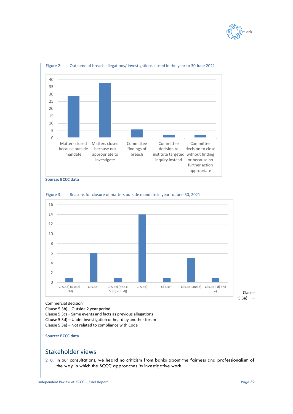



#### Figure 2: Outcome of breach allegations/investigations closed in the year to 30 June 2021





Figure 3: Reasons for closure of matters outside mandate in year to June 30, 2021

Commercial decision

Clause 5.3b) – Outside 2 year period

Clause 5.3c) – Same events and facts as previous allegations Clause 5.3d) – Under investigation or heard by another forum

Clause 5.3e) – Not related to compliance with Code

### **Source: BCCC data**

# Stakeholder views

210. In our consultations, we heard no criticism from banks about the fairness and professionalism of the way in which the BCCC approaches its investigative work.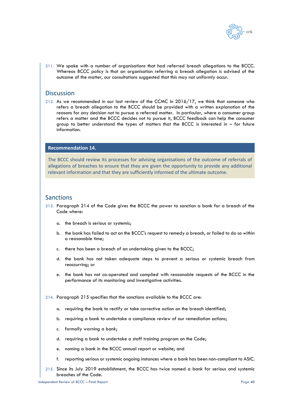

211. We spoke with a number of organisations that had referred breach allegations to the BCCC. Whereas BCCC policy is that an organisation referring a breach allegation is advised of the outcome of the matter, our consultations suggested that this may not uniformly occur.

# **Discussion**

212. As we recommended in our last review of the CCMC in 2016/17, we think that someone who refers a breach allegation to the BCCC should be provided with a written explanation of the reasons for any decision not to pursue a referred matter. In particular, where a consumer group refers a matter and the BCCC decides not to pursue it, BCCC feedback can help the consumer group to better understand the types of matters that the BCCC is interested in – for future information.

## **Recommendation 14.**

The BCCC should review its processes for advising organisations of the outcome of referrals of allegations of breaches to ensure that they are given the opportunity to provide any additional relevant information and that they are sufficiently informed of the ultimate outcome.

## Sanctions

- 213. Paragraph 214 of the Code gives the BCCC the power to sanction a bank for a breach of the Code where:
	- a. the breach is serious or systemic;
	- b. the bank has failed to act on the BCCC's request to remedy a breach, or failed to do so within a reasonable time;
	- c. there has been a breach of an undertaking given to the BCCC;
	- d. the bank has not taken adequate steps to prevent a serious or systemic breach from reoccurring; or
	- e. the bank has not co-operated and complied with reasonable requests of the BCCC in the performance of its monitoring and Investigative activities.
- 214. Paragraph 215 specifies that the sanctions available to the BCCC are:
	- a. requiring the bank to rectify or take corrective action on the breach identified;
	- b. requiring a bank to undertake a compliance review of our remediation actions;
	- c. formally warning a bank;
	- d. requiring a bank to undertake a staff training program on the Code;
	- e. naming a bank in the BCCC annual report or website; and
	- f. reporting serious or systemic ongoing instances where a bank has been non-compliant to ASIC.
- 215. Since its July 2019 establishment, the BCCC has twice named a bank for serious and systemic breaches of the Code.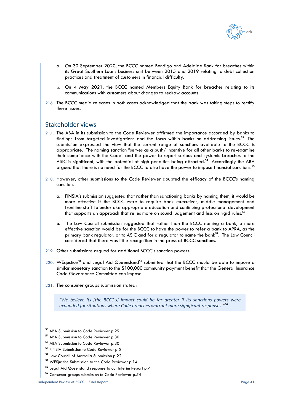

- a. On 30 September 2020, the BCCC named Bendigo and Adelaide Bank for breaches within its Great Southern Loans business unit between 2015 and 2019 relating to debt collection practices and treatment of customers in financial difficulty.
- b. On 4 May 2021, the BCCC named Members Equity Bank for breaches relating to its communications with customers about changes to redraw accounts.
- 216. The BCCC media releases in both cases acknowledged that the bank was taking steps to rectify these issues.

## Stakeholder views

- 217. The ABA in its submission to the Code Reviewer affirmed the importance accorded by banks to findings from targeted investigations and the focus within banks on addressing issues.**<sup>53</sup>** The submission expressed the view that the current range of sanctions available to the BCCC is appropriate. The naming sanction "serves as a push/ incentive for all other banks to re-examine their compliance with the Code" and the power to report serious and systemic breaches to the ASIC is significant, with the potential of high penalties being attracted.**<sup>54</sup>** Accordingly the ABA argued that there is no need for the BCCC to also have the power to impose financial sanctions.**<sup>55</sup>**
- 218. However, other submissions to the Code Reviewer doubted the efficacy of the BCCC's naming sanction.
	- a. FINSIA's submission suggested that rather than sanctioning banks by naming them, it would be more effective if the BCCC were to require bank executives, middle management and frontline staff to undertake appropriate education and continuing professional development that supports an approach that relies more on sound judgement and less on rigid rules.**<sup>56</sup>**
	- b. The Law Council submission suggested that rather than the BCCC naming a bank, a more effective sanction would be for the BCCC to have the power to refer a bank to APRA, as the primary bank regulator, or to ASIC and for a regulator to name the bank**57**. The Law Council considered that there was little recognition in the press of BCCC sanctions.
- 219. Other submissions argued for additional BCCC's sanction powers.
- 220. WEsjustice**<sup>58</sup>** and Legal Aid Queensland**<sup>59</sup>** submitted that the BCCC should be able to impose a similar monetary sanction to the \$100,000 community payment benefit that the General Insurance Code Governance Committee can impose.
- 221. The consumer groups submission stated:

*"We believe its [the BCCC's] impact could be far greater if its sanctions powers were expanded for situations where Code breaches warrant more significant responses."<sup>60</sup>*

**<sup>53</sup>** ABA Submission to Code Reviewer p.29

**<sup>54</sup>** ABA Submission to Code Reviewer p.30

**<sup>55</sup>** ABA Submission to Code Reviewer p.30

**<sup>56</sup>** FINSIA Submission to Code Reviewer p.5

**<sup>57</sup>** Law Council of Australia Submission p.22

**<sup>58</sup>** WESjustice Submission to the Code Reviewer p.14

**<sup>59</sup>** Legal Aid Queensland response to our Interim Report p.7

**<sup>60</sup>** Consumer groups submission to Code Reviewer p.54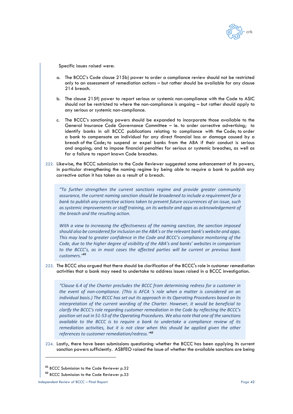

Specific issues raised were:

- a. The BCCC's Code clause 215b) power to order a compliance review should not be restricted only to an assessment of remediation actions – but rather should be available for any clause 214 breach.
- b. The clause 215f) power to report serious or systemic non-compliance with the Code to ASIC should not be restricted to where the non-compliance is ongoing – but rather should apply to any serious or systemic non-compliance.
- c. The BCCC's sanctioning powers should be expanded to incorporate those available to the General Insurance Code Governance Committee – ie. to order corrective advertising; to identify banks in all BCCC publications relating to compliance with the Code; to order a bank to compensate an individual for any direct financial loss or damage caused by a breach of the Code; to suspend or expel banks from the ABA if their conduct is serious and ongoing; and to impose financial penalties for serious or systemic breaches, as well as for a failure to report known Code breaches.
- 222. Likewise, the BCCC submission to the Code Reviewer suggested some enhancement of its powers, in particular strengthening the naming regime by being able to require a bank to publish any corrective action it has taken as a result of a breach.

*"To further strengthen the current sanctions regime and provide greater community assurance, the current naming sanction should be broadened to include a requirement for a bank to publish any corrective actions taken to prevent future occurrences of an issue, such as systemic improvements or staff training, on its website and apps as acknowledgement of the breach and the resulting action.*

*With a view to increasing the effectiveness of the naming sanction, the sanction imposed should also be considered for inclusion on the ABA's or the relevant bank's website and apps. This may lead to greater confidence in the Code and BCCC's compliance monitoring of the Code, due to the higher degree of visibility of the ABA's and banks' websites in comparison to the BCCC's, as in most cases the affected parties will be current or previous bank customers."<sup>61</sup>*

223. The BCCC also argued that there should be clarification of the BCCC's role in customer remediation activities that a bank may need to undertake to address issues raised in a BCCC investigation.

*"Clause 6.4 of the Charter precludes the BCCC from determining redress for a customer in the event of non-compliance. (This is AFCA 's role when a matter is considered on an individual basis.) The BCCC has set out its approach in its Operating Procedures based on its interpretation of the current wording of the Charter. However, it would be beneficial to clarify the BCCC's role regarding customer remediation in the Code by reflecting the BCCC's position set out in 51-53 of the Operating Procedures. We also note that one of the sanctions available to the BCCC is to require a bank to undertake a compliance review of its remediation activities, but it is not clear when this should be applied given the other references to customer remediation/redress."<sup>62</sup>*

224. Lastly, there have been submissions questioning whether the BCCC has been applying its current sanction powers sufficiently. ASBFEO raised the issue of whether the available sanctions are being

**<sup>61</sup>** BCCC Submission to the Code Reviewer p.32

**<sup>62</sup>** BCCC Submission to the Code Reviewer p.33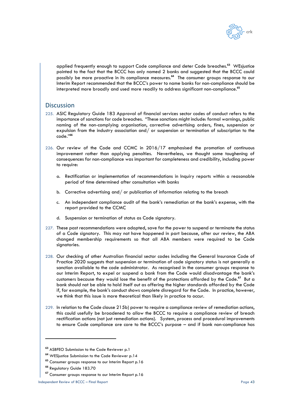

applied frequently enough to support Code compliance and deter Code breaches.**<sup>63</sup>** WEsjustice pointed to the fact that the BCCC has only named 2 banks and suggested that the BCCC could possibly be more proactive in its compliance measures.**<sup>64</sup>** The consumer groups response to our Interim Report recommended that the BCCC's power to name banks for non-compliance should be interpreted more broadly and used more readily to address significant non-compliance.**<sup>65</sup>**

## Discussion

- 225. ASIC Regulatory Guide 183 Approval of financial services sector codes of conduct refers to the importance of sanctions for code breaches. "These sanctions might include: formal warnings, public naming of the non-complying organisation, corrective advertising orders, fines, suspension or expulsion from the industry association and/ or suspension or termination of subscription to the code."**<sup>66</sup>**
- 226. Our review of the Code and CCMC in 2016/17 emphasised the promotion of continuous improvement rather than applying penalties. Nevertheless, we thought some toughening of consequences for non-compliance was important for completeness and credibility, including power to require:
	- a. Rectification or implementation of recommendations in Inquiry reports within a reasonable period of time determined after consultation with banks
	- b. Corrective advertising and/ or publication of information relating to the breach
	- c. An independent compliance audit of the bank's remediation at the bank's expense, with the report provided to the CCMC
	- d. Suspension or termination of status as Code signatory.
- 227. These past recommendations were adopted, save for the power to suspend or terminate the status of a Code signatory. This may not have happened in part because, after our review, the ABA changed membership requirements so that all ABA members were required to be Code signatories.
- 228. Our checking of other Australian financial sector codes including the General Insurance Code of Practice 2020 suggests that suspension or termination of code signatory status is not generally a sanction available to the code administrator. As recognised in the consumer groups response to our Interim Report, to expel or suspend a bank from the Code would disadvantage the bank's customers because they would lose the benefit of the protections afforded by the Code.**<sup>67</sup>** But a bank should not be able to hold itself out as offering the higher standards afforded by the Code if, for example, the bank's conduct shows complete disregard for the Code. In practice, however, we think that this issue is more theoretical than likely in practice to occur.
- 229. In relation to the Code clause 215b) power to require a compliance review of remediation actions, this could usefully be broadened to allow the BCCC to require a compliance review of breach rectification actions (not just remediation actions). System, process and procedural improvements to ensure Code compliance are core to the BCCC's purpose – and if bank non-compliance has

**<sup>63</sup>** ASBFEO Submission to the Code Reviewer p.1

**<sup>64</sup>** WESjustice Submission to the Code Reviewer p.14

**<sup>65</sup>** Consumer groups response to our Interim Report p.16

**<sup>66</sup>** Regulatory Guide 183.70

**<sup>67</sup>** Consumer groups response to our Interim Report p.16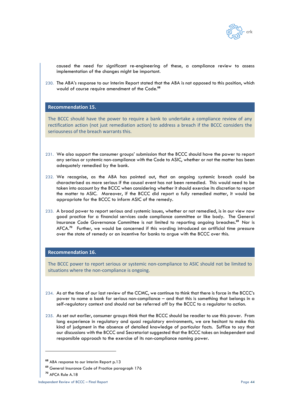

caused the need for significant re-engineering of these, a compliance review to assess implementation of the changes might be important.

230. The ABA's response to our Interim Report stated that the ABA is not opposed to this position, which would of course require amendment of the Code.**<sup>68</sup>**

#### **Recommendation 15.**

The BCCC should have the power to require a bank to undertake a compliance review of any rectification action (not just remediation action) to address a breach if the BCCC considers the seriousness of the breach warrants this.

- 231. We also support the consumer groups' submission that the BCCC should have the power to report any serious or systemic non-compliance with the Code to ASIC, whether or not the matter has been adequately remedied by the bank.
- 232. We recognise, as the ABA has pointed out, that an ongoing systemic breach could be characterised as more serious if the causal event has not been remedied. This would need to be taken into account by the BCCC when considering whether it should exercise its discretion to report the matter to ASIC. Moreover, if the BCCC did report a fully remedied matter, it would be appropriate for the BCCC to inform ASIC of the remedy.
- 233. A broad power to report serious and systemic issues, whether or not remedied, is in our view now good practice for a financial services code compliance committee or like body. The General Insurance Code Governance Committee is not limited to reporting ongoing breaches. **<sup>69</sup>** Nor is AFCA.**<sup>70</sup>** Further, we would be concerned if this wording introduced an artificial time pressure over the state of remedy or an incentive for banks to argue with the BCCC over this.

#### **Recommendation 16.**

The BCCC power to report serious or systemic non-compliance to ASIC should not be limited to situations where the non-compliance is ongoing.

- 234. As at the time of our last review of the CCMC, we continue to think that there is force in the BCCC's power to name a bank for serious non-compliance – and that this is something that belongs in a self-regulatory context and should not be referred off by the BCCC to a regulator to action.
- 235. As set out earlier, consumer groups think that the BCCC should be readier to use this power. From long experience in regulatory and quasi regulatory environments, we are hesitant to make this kind of judgment in the absence of detailed knowledge of particular facts. Suffice to say that our discussions with the BCCC and Secretariat suggested that the BCCC takes an independent and responsible approach to the exercise of its non-compliance naming power.

**<sup>68</sup>** ABA response to our Interim Report p.13

**<sup>69</sup>** General Insurance Code of Practice paragraph 176

**<sup>70</sup>** AFCA Rule A.18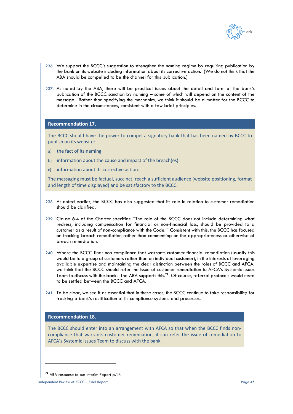

- 236. We support the BCCC's suggestion to strengthen the naming regime by requiring publication by the bank on its website including information about its corrective action. (We do not think that the ABA should be compelled to be the channel for this publication.)
- 237. As noted by the ABA, there will be practical issues about the detail and form of the bank's publication of the BCCC sanction by naming – some of which will depend on the content of the message. Rather than specifying the mechanics, we think it should be a matter for the BCCC to determine in the circumstances, consistent with a few brief principles.

#### **Recommendation 17.**

The BCCC should have the power to compel a signatory bank that has been named by BCCC to publish on its website:

- a) the fact of its naming
- b) information about the cause and impact of the breach(es)
- c) information about its corrective action.

The messaging must be factual, succinct, reach a sufficient audience (website positioning, format and length of time displayed) and be satisfactory to the BCCC.

- 238. As noted earlier, the BCCC has also suggested that its role in relation to customer remediation should be clarified.
- 239. Clause 6.4 of the Charter specifies: "The role of the BCCC does not include determining what redress, including compensation for financial or non-financial loss, should be provided to a customer as a result of non-compliance with the Code." Consistent with this, the BCCC has focused on tracking breach remediation rather than commenting on the appropriateness or otherwise of breach remediation.
- 240. Where the BCCC finds non-compliance that warrants customer financial remediation (usually this would be to a group of customers rather than an individual customer), in the interests of leveraging available expertise and maintaining the clear distinction between the roles of BCCC and AFCA, we think that the BCCC should refer the issue of customer remediation to AFCA's Systemic Issues Team to discuss with the bank. The ABA supports this.**<sup>71</sup>** Of course, referral protocols would need to be settled between the BCCC and AFCA.
- 241. To be clear, we see it as essential that in these cases, the BCCC continue to take responsibility for tracking a bank's rectification of its compliance systems and processes.

## **Recommendation 18.**

The BCCC should enter into an arrangement with AFCA so that when the BCCC finds noncompliance that warrants customer remediation, it can refer the issue of remediation to AFCA's Systemic issues Team to discuss with the bank.

**<sup>71</sup>** ABA response to our Interim Report p.13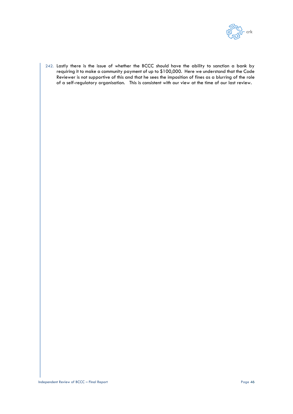

242. Lastly there is the issue of whether the BCCC should have the ability to sanction a bank by requiring it to make a community payment of up to \$100,000. Here we understand that the Code Reviewer is not supportive of this and that he sees the imposition of fines as a blurring of the role of a self-regulatory organisation. This is consistent with our view at the time of our last review.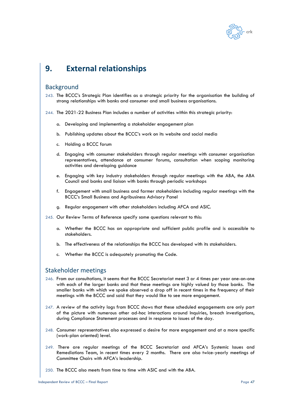

# **9. External relationships**

## **Background**

243. The BCCC's Strategic Plan identifies as a strategic priority for the organisation the building of strong relationships with banks and consumer and small business organisations.

244. The 2021-22 Business Plan includes a number of activities within this strategic priority:

- a. Developing and implementing a stakeholder engagement plan
- b. Publishing updates about the BCCC's work on its website and social media
- c. Holding a BCCC forum
- d. Engaging with consumer stakeholders through regular meetings with consumer organisation representatives, attendance at consumer forums, consultation when scoping monitoring activities and developing guidance
- e. Engaging with key industry stakeholders through regular meetings with the ABA, the ABA Council and banks and liaison with banks through periodic workshops
- f. Engagement with small business and farmer stakeholders including regular meetings with the BCCC's Small Business and Agribusiness Advisory Panel
- g. Regular engagement with other stakeholders including AFCA and ASIC.
- 245. Our Review Terms of Reference specify some questions relevant to this:
	- a. Whether the BCCC has an appropriate and sufficient public profile and is accessible to stakeholders.
	- b. The effectiveness of the relationships the BCCC has developed with its stakeholders.
	- c. Whether the BCCC is adequately promoting the Code.

## Stakeholder meetings

- 246. From our consultations, it seems that the BCCC Secretariat meet 3 or 4 times per year one-on-one with each of the larger banks and that these meetings are highly valued by those banks. The smaller banks with which we spoke observed a drop off in recent times in the frequency of their meetings with the BCCC and said that they would like to see more engagement.
- 247. A review of the activity logs from BCCC shows that these scheduled engagements are only part of the picture with numerous other ad-hoc interactions around Inquiries, breach investigations, during Compliance Statement processes and in response to issues of the day.
- 248. Consumer representatives also expressed a desire for more engagement and at a more specific (work-plan oriented) level.
- 249. There are regular meetings of the BCCC Secretariat and AFCA's Systemic Issues and Remediations Team, in recent times every 2 months. There are also twice-yearly meetings of Committee Chairs with AFCA's leadership.
- 250. The BCCC also meets from time to time with ASIC and with the ABA.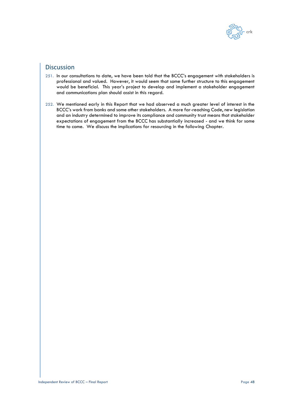

# Discussion

- 251. In our consultations to date, we have been told that the BCCC's engagement with stakeholders is professional and valued. However, it would seem that some further structure to this engagement would be beneficial. This year's project to develop and implement a stakeholder engagement and communications plan should assist in this regard.
- 252. We mentioned early in this Report that we had observed a much greater level of interest in the BCCC's work from banks and some other stakeholders. A more far-reaching Code, new legislation and an industry determined to improve its compliance and community trust means that stakeholder expectations of engagement from the BCCC has substantially increased - and we think for some time to come. We discuss the implications for resourcing in the following Chapter.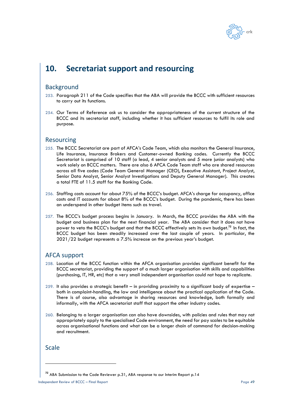

# **10. Secretariat support and resourcing**

## Background

- 253. Paragraph 211 of the Code specifies that the ABA will provide the BCCC with sufficient resources to carry out its functions.
- 254. Our Terms of Reference ask us to consider the appropriateness of the current structure of the BCCC and its secretariat staff, including whether it has sufficient resources to fulfil its role and purpose.

## Resourcing

- 255. The BCCC Secretariat are part of AFCA's Code Team, which also monitors the General Insurance, Life Insurance, Insurance Brokers and Customer-owned Banking codes. Currently the BCCC Secretariat is comprised of 10 staff (a lead, 4 senior analysts and 5 more junior analysts) who work solely on BCCC matters. There are also 6 AFCA Code Team staff who are shared resources across all five codes (Code Team General Manager (CEO), Executive Assistant, Project Analyst, Senior Data Analyst, Senior Analyst Investigations and Deputy General Manager). This creates a total FTE of 11.5 staff for the Banking Code.
- 256. Staffing costs account for about 75% of the BCCC's budget. AFCA's charge for occupancy, office costs and IT accounts for about 8% of the BCCC's budget. During the pandemic, there has been an underspend in other budget items such as travel.
- 257. The BCCC's budget process begins in January. In March, the BCCC provides the ABA with the budget and business plan for the next financial year. The ABA consider that it does not have power to veto the BCCC's budget and that the BCCC effectively sets its own budget. **<sup>72</sup>** In fact, the BCCC budget has been steadily increased over the last couple of years. In particular, the 2021/22 budget represents a 7.5% increase on the previous year's budget.

## AFCA support

- 258. Location of the BCCC function within the AFCA organisation provides significant benefit for the BCCC secretariat, providing the support of a much larger organisation with skills and capabilities (purchasing, IT, HR, etc) that a very small independent organisation could not hope to replicate.
- 259. It also provides a strategic benefit in providing proximity to a significant body of expertise both in complaint-handling, the law and intelligence about the practical application of the Code. There is of course, also advantage in sharing resources and knowledge, both formally and informally, with the AFCA secretariat staff that support the other industry codes.
- 260. Belonging to a larger organisation can also have downsides, with policies and rules that may not appropriately apply to the specialised Code environment, the need for pay scales to be equitable across organisational functions and what can be a longer chain of command for decision-making and recruitment.

# **Scale**

**<sup>72</sup>** ABA Submission to the Code Reviewer p.31, ABA response to our Interim Report p.14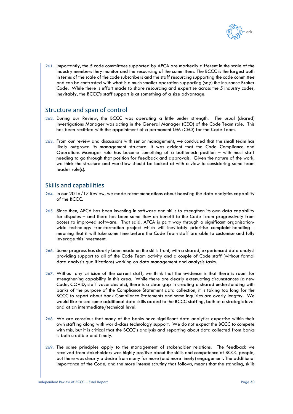

261. Importantly, the 5 code committees supported by AFCA are markedly different in the scale of the industry members they monitor and the resourcing of the committees. The BCCC is the largest both in terms of the scale of the code subscribers and the staff resourcing supporting the code committee and can be contrasted with what is a much smaller operation supporting (say) the Insurance Broker Code. While there is effort made to share resourcing and expertise across the 5 industry codes, inevitably, the BCCC's staff support is at something of a size advantage.

## Structure and span of control

- 262. During our Review, the BCCC was operating a little under strength. The usual (shared) Investigations Manager was acting in the General Manager (CEO) of the Code Team role. This has been rectified with the appointment of a permanent GM (CEO) for the Code Team.
- 263. From our review and discussions with senior management, we concluded that the small team has likely outgrown its management structure. It was evident that the Code Compliance and Operations Manager role has become something of a bottleneck position – with most staff needing to go through that position for feedback and approvals. Given the nature of the work, we think the structure and workflow should be looked at with a view to considering some team leader role(s).

# Skills and capabilities

- 264. In our 2016/17 Review, we made recommendations about boosting the data analytics capability of the BCCC.
- 265. Since then, AFCA has been investing in software and skills to strengthen its own data capability for disputes – and there has been some flow-on benefit to the Code Team progressively from access to improved software. That said, AFCA is part way through a significant organisationwide technology transformation project which will inevitably prioritise complaint-handling meaning that it will take some time before the Code Team staff are able to customise and fully leverage this investment.
- 266. Some progress has clearly been made on the skills front, with a shared, experienced data analyst providing support to all of the Code Team activity and a couple of Code staff (without formal data analysis qualifications) working on data management and analysis tasks.
- 267. Without any criticism of the current staff, we think that the evidence is that there is room for strengthening capability in this area. While there are clearly extenuating circumstances (a new Code, COVID, staff vacancies etc), there is a clear gap in creating a shared understanding with banks of the purpose of the Compliance Statement data collection, it is taking too long for the BCCC to report about bank Compliance Statements and some Inquiries are overly lengthy. We would like to see some additional data skills added to the BCCC staffing, both at a strategic level and at an intermediate/technical level.
- 268. We are conscious that many of the banks have significant data analytics expertise within their own staffing along with world-class technology support. We do not expect the BCCC to compete with this, but it is critical that the BCCC's analysis and reporting about data collected from banks is both credible and timely.
- 269. The same principles apply to the management of stakeholder relations. The feedback we received from stakeholders was highly positive about the skills and competence of BCCC people, but there was clearly a desire from many for more (and more timely) engagement. The additional importance of the Code, and the more intense scrutiny that follows, means that the standing, skills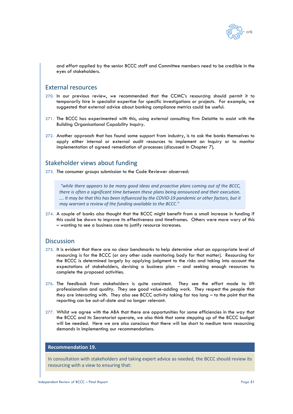

and effort applied by the senior BCCC staff and Committee members need to be credible in the eyes of stakeholders.

## External resources

- 270. In our previous review, we recommended that the CCMC's resourcing should permit it to temporarily hire in specialist expertise for specific investigations or projects. For example, we suggested that external advice about banking compliance metrics could be useful.
- 271. The BCCC has experimented with this, using external consulting firm Deloitte to assist with the Building Organisational Capability Inquiry.
- 272. Another approach that has found some support from industry, is to ask the banks themselves to apply either internal or external audit resources to implement an Inquiry or to monitor implementation of agreed remediation of processes (discussed in Chapter [7\)](#page-29-0).

## Stakeholder views about funding

273. The consumer groups submission to the Code Reviewer observed:

*"while there appears to be many good ideas and proactive plans coming out of the BCCC, there is often a significant time between these plans being announced and their execution. …. It may be that this has been influenced by the COVID-19 pandemic or other factors, but it may warrant a review of the funding available to the BCCC."*

274. A couple of banks also thought that the BCCC might benefit from a small increase in funding if this could be shown to improve its effectiveness and timeframes. Others were more wary of this – wanting to see a business case to justify resource increases.

## **Discussion**

- 275. It is evident that there are no clear benchmarks to help determine what an appropriate level of resourcing is for the BCCC (or any other code monitoring body for that matter). Resourcing for the BCCC is determined largely by applying judgment to the risks and taking into account the expectations of stakeholders, devising a business plan – and seeking enough resources to complete the proposed activities.
- 276. The feedback from stakeholders is quite consistent. They see the effort made to lift professionalism and quality. They see good value-adding work. They respect the people that they are interacting with. They also see BCCC activity taking far too long – to the point that the reporting can be out-of-date and no longer relevant.
- 277. Whilst we agree with the ABA that there are opportunities for some efficiencies in the way that the BCCC and its Secretariat operate, we also think that some stepping up of the BCCC budget will be needed. Here we are also conscious that there will be short to medium term resourcing demands in implementing our recommendations.

### **Recommendation 19.**

In consultation with stakeholders and taking expert advice as needed, the BCCC should review its resourcing with a view to ensuring that: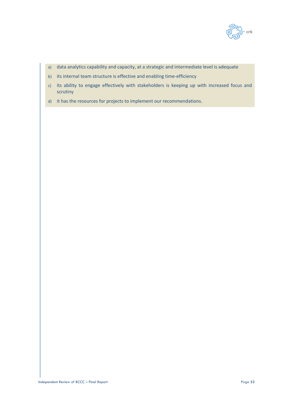

- a) data analytics capability and capacity, at a strategic and intermediate level is adequate
- b) its internal team structure is effective and enabling time-efficiency
- c) its ability to engage effectively with stakeholders is keeping up with increased focus and scrutiny
- d) it has the resources for projects to implement our recommendations.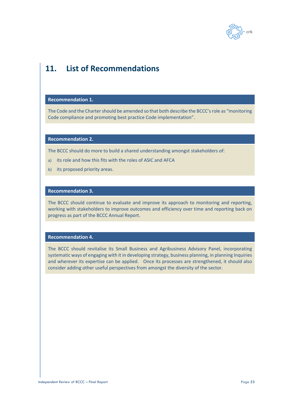

# **11. List of Recommendations**

## **Recommendation 1.**

The Code and the Charter should be amended so that both describe the BCCC's role as "monitoring Code compliance and promoting best practice Code implementation".

### **Recommendation 2.**

The BCCC should do more to build a shared understanding amongst stakeholders of:

- a) its role and how this fits with the roles of ASIC and AFCA
- b) its proposed priority areas.

## **Recommendation 3.**

The BCCC should continue to evaluate and improve its approach to monitoring and reporting, working with stakeholders to improve outcomes and efficiency over time and reporting back on progress as part of the BCCC Annual Report.

## **Recommendation 4.**

The BCCC should revitalise its Small Business and Agribusiness Advisory Panel, incorporating systematic ways of engaging with it in developing strategy, business planning, in planning Inquiries and wherever its expertise can be applied. Once its processes are strengthened, it should also consider adding other useful perspectives from amongst the diversity of the sector.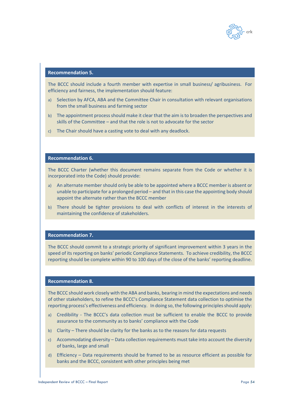

## **Recommendation 5.**

The BCCC should include a fourth member with expertise in small business/ agribusiness. For efficiency and fairness, the implementation should feature:

- a) Selection by AFCA, ABA and the Committee Chair in consultation with relevant organisations from the small business and farming sector
- b) The appointment process should make it clear that the aim is to broaden the perspectives and skills of the Committee – and that the role is not to advocate for the sector
- c) The Chair should have a casting vote to deal with any deadlock.

### **Recommendation 6.**

The BCCC Charter (whether this document remains separate from the Code or whether it is incorporated into the Code) should provide:

- a) An alternate member should only be able to be appointed where a BCCC member is absent or unable to participate for a prolonged period – and that in this case the appointing body should appoint the alternate rather than the BCCC member
- b) There should be tighter provisions to deal with conflicts of interest in the interests of maintaining the confidence of stakeholders.

#### **Recommendation 7.**

The BCCC should commit to a strategic priority of significant improvement within 3 years in the speed of its reporting on banks' periodic Compliance Statements. To achieve credibility, the BCCC reporting should be complete within 90 to 100 days of the close of the banks' reporting deadline.

## **Recommendation 8.**

The BCCC should work closely with the ABA and banks, bearing in mind the expectations and needs of other stakeholders, to refine the BCCC's Compliance Statement data collection to optimise the reporting process's effectiveness and efficiency. In doing so, the following principles should apply:

- a) Credibility The BCCC's data collection must be sufficient to enable the BCCC to provide assurance to the community as to banks' compliance with the Code
- b) Clarity There should be clarity for the banks as to the reasons for data requests
- c) Accommodating diversity Data collection requirements must take into account the diversity of banks, large and small
- d) Efficiency Data requirements should be framed to be as resource efficient as possible for banks and the BCCC, consistent with other principles being met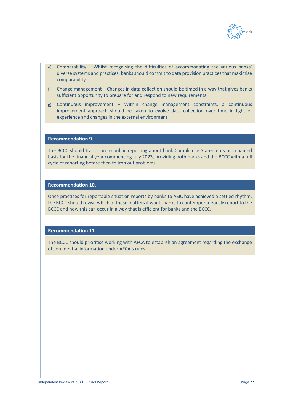

- e) Comparability Whilst recognising the difficulties of accommodating the various banks' diverse systems and practices, banks should commit to data provision practices that maximise comparability
- f) Change management Changes in data collection should be timed in a way that gives banks sufficient opportunity to prepare for and respond to new requirements
- g) Continuous improvement Within change management constraints, a continuous improvement approach should be taken to evolve data collection over time in light of experience and changes in the external environment

### **Recommendation 9.**

The BCCC should transition to public reporting about bank Compliance Statements on a named basis for the financial year commencing July 2023, providing both banks and the BCCC with a full cycle of reporting before then to iron out problems.

### **Recommendation 10.**

Once practices for reportable situation reports by banks to ASIC have achieved a settled rhythm, the BCCC should revisit which of these matters it wants banks to contemporaneously report to the BCCC and how this can occur in a way that is efficient for banks and the BCCC.

## **Recommendation 11.**

The BCCC should prioritise working with AFCA to establish an agreement regarding the exchange of confidential information under AFCA's rules.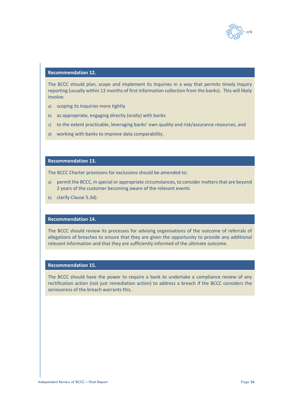

# **Recommendation 12.**

The BCCC should plan, scope and implement its Inquiries in a way that permits timely Inquiry reporting (usually within 12 months of first information collection from the banks). This will likely involve:

- a) scoping its Inquiries more tightly
- b) as appropriate, engaging directly (orally) with banks
- c) to the extent practicable, leveraging banks' own quality and risk/assurance resources, and
- d) working with banks to improve data comparability.

## **Recommendation 13.**

The BCCC Charter provisions for exclusions should be amended to:

- a) permit the BCCC, in special or appropriate circumstances, to consider matters that are beyond 2 years of the customer becoming aware of the relevant events
- b) clarify Clause 5.3d).

#### **Recommendation 14.**

The BCCC should review its processes for advising organisations of the outcome of referrals of allegations of breaches to ensure that they are given the opportunity to provide any additional relevant information and that they are sufficiently informed of the ultimate outcome.

## **Recommendation 15.**

The BCCC should have the power to require a bank to undertake a compliance review of any rectification action (not just remediation action) to address a breach if the BCCC considers the seriousness of the breach warrants this.